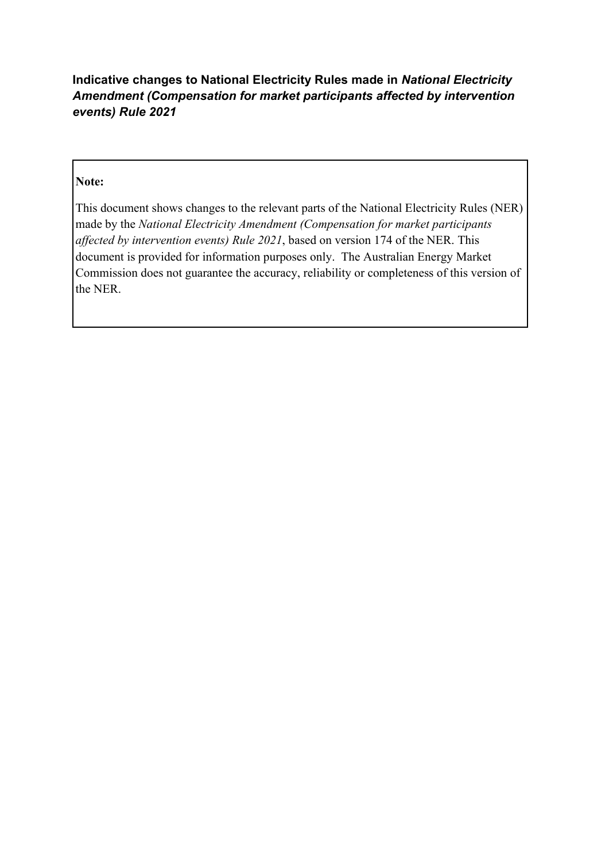# Indicative changes to National Electricity Rules made in National Electricity Amendment (Compensation for market participants affected by intervention events) Rule 2021

# Note:

 This document shows changes to the relevant parts of the National Electricity Rules (NER) made by the National Electricity Amendment (Compensation for market participants affected by intervention events) Rule 2021, based on version 174 of the NER. This document is provided for information purposes only. The Australian Energy Market Commission does not guarantee the accuracy, reliability or completeness of this version of the NER.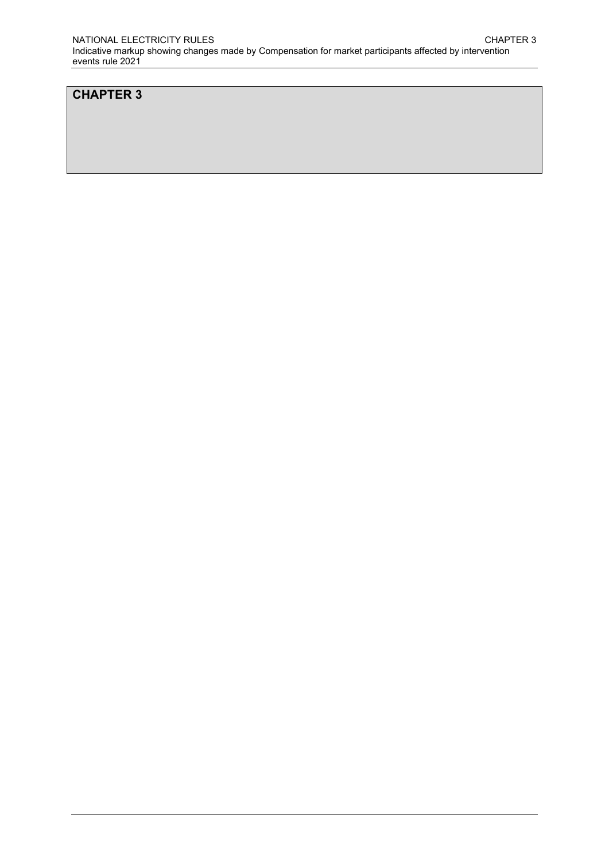### CHAPTER 3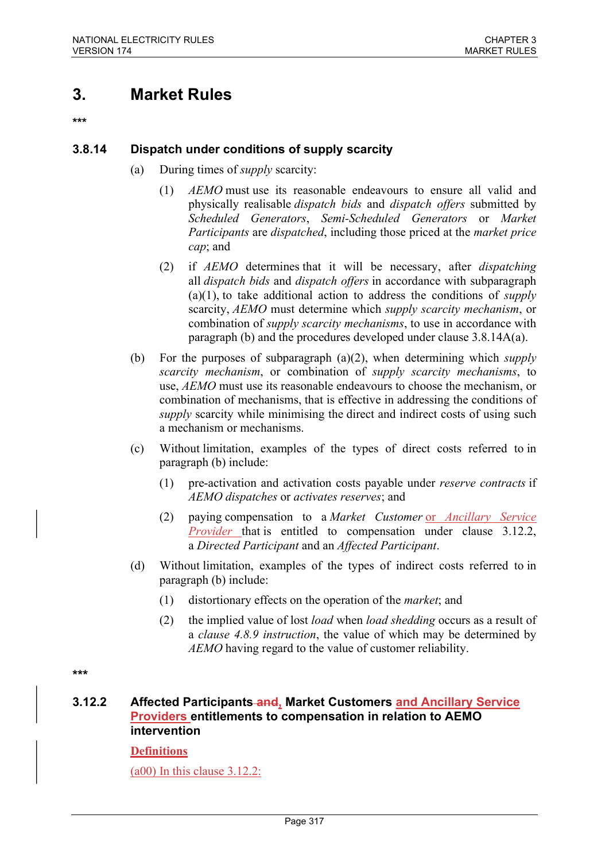# 3. Market Rules

\*\*\*

### 3.8.14 Dispatch under conditions of supply scarcity

- (a) During times of supply scarcity:
	- (1) AEMO must use its reasonable endeavours to ensure all valid and physically realisable *dispatch bids* and *dispatch offers* submitted by Scheduled Generators, Semi-Scheduled Generators or Market Participants are dispatched, including those priced at the market price cap; and
	- (2) if AEMO determines that it will be necessary, after dispatching all *dispatch bids* and *dispatch offers* in accordance with subparagraph  $(a)(1)$ , to take additional action to address the conditions of *supply* scarcity, AEMO must determine which *supply scarcity mechanism*, or combination of *supply scarcity mechanisms*, to use in accordance with paragraph (b) and the procedures developed under clause 3.8.14A(a).
- (b) For the purposes of subparagraph (a)(2), when determining which *supply* scarcity mechanism, or combination of supply scarcity mechanisms, to use, AEMO must use its reasonable endeavours to choose the mechanism, or combination of mechanisms, that is effective in addressing the conditions of supply scarcity while minimising the direct and indirect costs of using such a mechanism or mechanisms.
- (c) Without limitation, examples of the types of direct costs referred to in paragraph (b) include:
	- (1) pre-activation and activation costs payable under reserve contracts if AEMO dispatches or activates reserves; and
	- (2) paying compensation to a Market Customer or Ancillary Service Provider that is entitled to compensation under clause 3.12.2, a Directed Participant and an Affected Participant.
- (d) Without limitation, examples of the types of indirect costs referred to in paragraph (b) include:
	- (1) distortionary effects on the operation of the market; and
	- (2) the implied value of lost *load* when *load shedding* occurs as a result of a clause 4.8.9 instruction, the value of which may be determined by AEMO having regard to the value of customer reliability.

\*\*\*

### 3.12.2 Affected Participants-and, Market Customers and Ancillary Service Providers entitlements to compensation in relation to AEMO intervention

### **Definitions**

(a00) In this clause 3.12.2: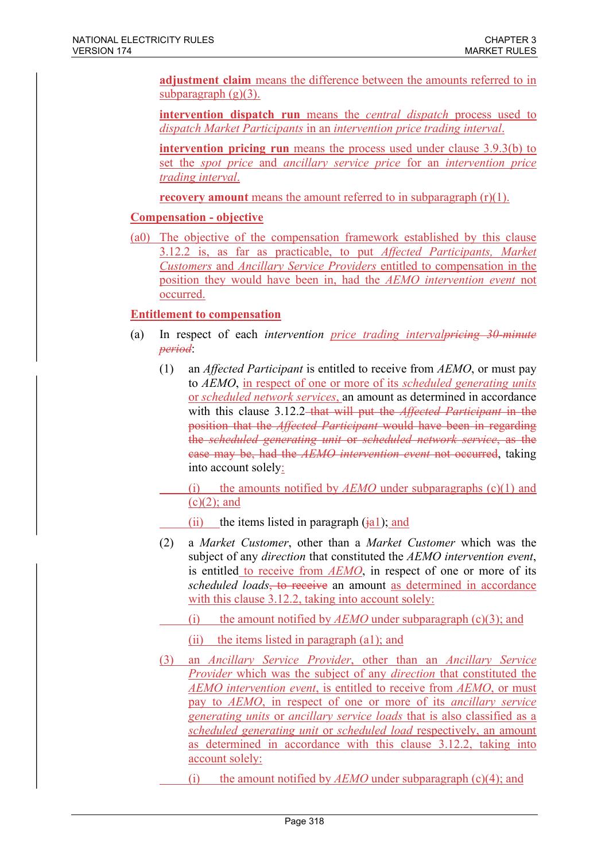adjustment claim means the difference between the amounts referred to in subparagraph  $(g)(3)$ .

intervention dispatch run means the *central dispatch* process used to dispatch Market Participants in an intervention price trading interval.

intervention pricing run means the process used under clause 3.9.3(b) to set the spot price and ancillary service price for an intervention price trading interval.

**recovery amount** means the amount referred to in subparagraph  $(r)(1)$ .

#### Compensation - objective

(a0) The objective of the compensation framework established by this clause 3.12.2 is, as far as practicable, to put Affected Participants, Market Customers and Ancillary Service Providers entitled to compensation in the position they would have been in, had the AEMO intervention event not occurred.

### Entitlement to compensation

- (a) In respect of each intervention price trading interval priori  $\frac{30}{m}$  minute period:
	- (1) an *Affected Participant* is entitled to receive from  $AEMO$ , or must pay to AEMO, in respect of one or more of its scheduled generating units or scheduled network services, an amount as determined in accordance with this clause 3.12.2–that will put the *Affected Participant* in the position that the *Affected Participant* would have been in regarding the *scheduled generating unit* or *scheduled network service*, as the ease may be, had the *AEMO intervention event* not occurred, taking into account solely:

(i) the amounts notified by  $AEMO$  under subparagraphs (c)(1) and  $(c)(2)$ ; and

- (ii) the items listed in paragraph  $(ial)$ ; and
- (2) a Market Customer, other than a Market Customer which was the subject of any *direction* that constituted the AEMO intervention event, is entitled to receive from AEMO, in respect of one or more of its scheduled loads, to receive an amount as determined in accordance with this clause 3.12.2, taking into account solely:
	- (i) the amount notified by  $AEMO$  under subparagraph (c)(3); and
		- (ii) the items listed in paragraph (a1); and
- (3) an Ancillary Service Provider, other than an Ancillary Service Provider which was the subject of any direction that constituted the AEMO intervention event, is entitled to receive from AEMO, or must pay to AEMO, in respect of one or more of its ancillary service generating units or ancillary service loads that is also classified as a scheduled generating unit or scheduled load respectively, an amount as determined in accordance with this clause 3.12.2, taking into account solely:
	- (i) the amount notified by  $AEMO$  under subparagraph (c)(4); and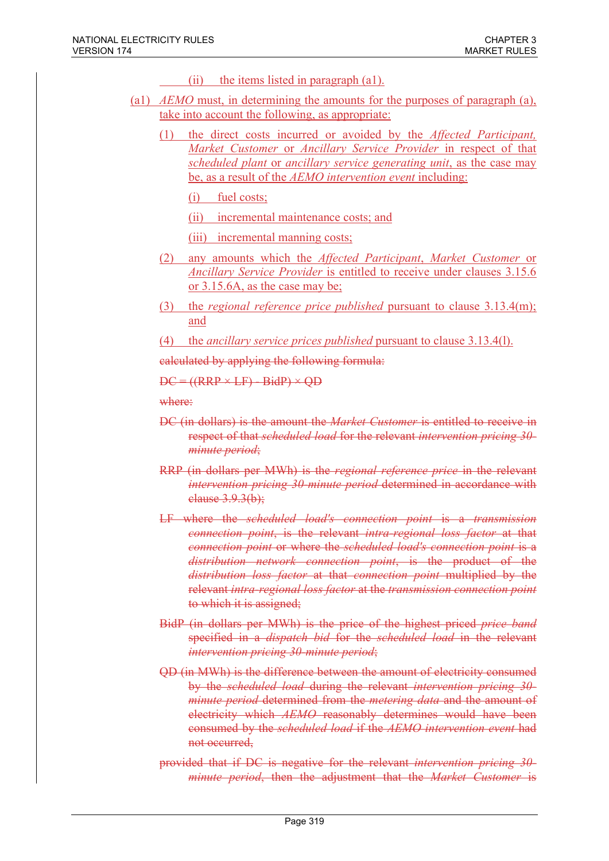- (ii) the items listed in paragraph (a1).
- (a1)  $AEMO$  must, in determining the amounts for the purposes of paragraph (a), take into account the following, as appropriate:
	- the direct costs incurred or avoided by the *Affected Participant*, Market Customer or Ancillary Service Provider in respect of that scheduled plant or ancillary service generating unit, as the case may be, as a result of the AEMO intervention event including:

(i) fuel costs;

(ii) incremental maintenance costs; and

- (iii) incremental manning costs;
- (2) any amounts which the Affected Participant, Market Customer or Ancillary Service Provider is entitled to receive under clauses 3.15.6 or 3.15.6A, as the case may be;
- (3) the regional reference price published pursuant to clause  $3.13.4(m)$ ; and
- (4) the *ancillary service prices published* pursuant to clause  $3.13.4(l)$ .

calculated by applying the following formula:

 $DC = ((RRP \times LF) - BidP) \times OD$ 

where:

- DC (in dollars) is the amount the *Market Customer* is entitled to receive in respect of that *scheduled load* for the relevant *intervention pricing 30*minute period;
- RRP (in dollars per MWh) is the *regional reference price* in the relevant intervention pricing 30-minute period determined in accordance with clause 3.9.3(b);
- LF where the scheduled load's connection point is a transmission connection point, is the relevant intra-regional loss factor at that connection point or where the scheduled load's connection point is a distribution network connection point, is the product of the distribution loss factor at that connection point multiplied by the relevant intra-regional loss factor at the transmission connection point to which it is assigned;
- BidP (in dollars per MWh) is the price of the highest priced *price band* specified in a *dispatch bid* for the *scheduled load* in the relevant intervention pricing 30-minute period;
- QD (in MWh) is the difference between the amount of electricity consumed by the scheduled load during the relevant intervention pricing 30*minute period* determined from the *metering data* and the amount of electricity which AEMO reasonably determines would have been consumed by the *scheduled load* if the AEMO intervention event had not occurred,
- provided that if DC is negative for the relevant intervention pricing 30 minute period, then the adjustment that the Market Customer is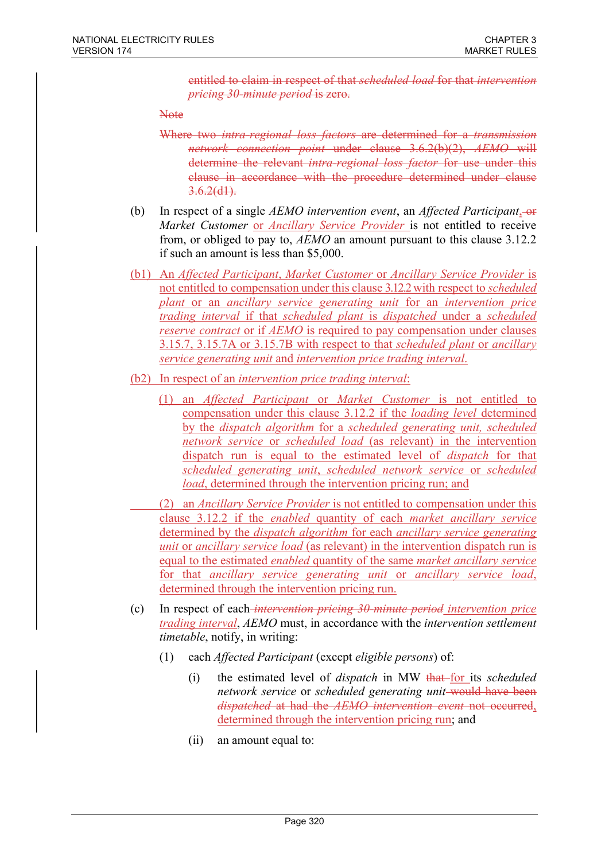entitled to claim in respect of that *scheduled load* for that *intervention* pricing 30-minute period is zero.

**Note** 

- Where two *intra-regional loss factors* are determined for a *transmission* network connection point under clause 3.6.2(b)(2), AEMO will determine the relevant *intra-regional loss factor* for use under this clause in accordance with the procedure determined under clause  $3.6.2(d1)$ .
- (b) In respect of a single AEMO intervention event, an Affected Participant,  $-$ or Market Customer or Ancillary Service Provider is not entitled to receive from, or obliged to pay to, AEMO an amount pursuant to this clause 3.12.2 if such an amount is less than \$5,000.
- (b1) An Affected Participant, Market Customer or Ancillary Service Provider is not entitled to compensation under this clause 3.12.2 with respect to scheduled plant or an ancillary service generating unit for an intervention price trading interval if that scheduled plant is dispatched under a scheduled reserve contract or if AEMO is required to pay compensation under clauses 3.15.7, 3.15.7A or 3.15.7B with respect to that scheduled plant or ancillary service generating unit and intervention price trading interval.
- (b2) In respect of an intervention price trading interval:
	- (1) an Affected Participant or Market Customer is not entitled to compensation under this clause 3.12.2 if the *loading level* determined by the dispatch algorithm for a scheduled generating unit, scheduled network service or scheduled load (as relevant) in the intervention dispatch run is equal to the estimated level of *dispatch* for that scheduled generating unit, scheduled network service or scheduled load, determined through the intervention pricing run; and
	- (2) an Ancillary Service Provider is not entitled to compensation under this clause 3.12.2 if the enabled quantity of each market ancillary service determined by the *dispatch algorithm* for each *ancillary service generating* unit or *ancillary service load* (as relevant) in the intervention dispatch run is equal to the estimated enabled quantity of the same market ancillary service for that ancillary service generating unit or ancillary service load, determined through the intervention pricing run.
- (c) In respect of each intervention pricing 30-minute period intervention price trading interval, AEMO must, in accordance with the intervention settlement timetable, notify, in writing:
	- (1) each Affected Participant (except eligible persons) of:
		- (i) the estimated level of *dispatch* in MW that-for its *scheduled* network service or scheduled generating unit-would have been dispatched at had the AEMO intervention event not occurred, determined through the intervention pricing run; and
		- (ii) an amount equal to: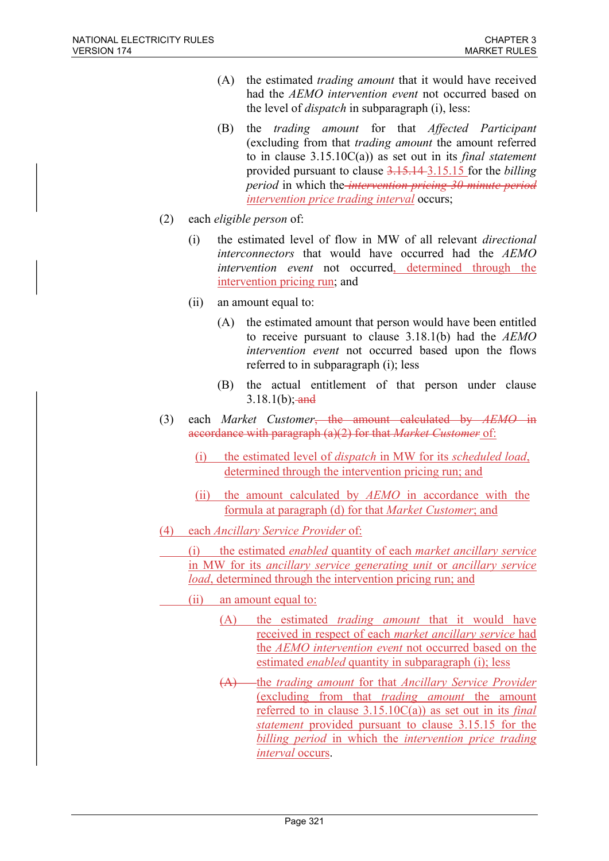- (A) the estimated trading amount that it would have received had the AEMO intervention event not occurred based on the level of dispatch in subparagraph (i), less:
- (B) the trading amount for that Affected Participant (excluding from that trading amount the amount referred to in clause  $3.15.10C(a)$  as set out in its *final statement* provided pursuant to clause 3.15.14 3.15.15 for the billing period in which the *intervention pricing 30-minute period* intervention price trading interval occurs;
- (2) each eligible person of:
	- (i) the estimated level of flow in MW of all relevant directional interconnectors that would have occurred had the AEMO intervention event not occurred, determined through the intervention pricing run; and
	- (ii) an amount equal to:
		- (A) the estimated amount that person would have been entitled to receive pursuant to clause 3.18.1(b) had the AEMO intervention event not occurred based upon the flows referred to in subparagraph (i); less
		- (B) the actual entitlement of that person under clause  $3.18.1(b);$  and
- (3) each Market Customer<del>, the amount calculated by AEMO in</del> accordance with paragraph (a)(2) for that *Market Customer* of:
	- (i) the estimated level of dispatch in MW for its scheduled load, determined through the intervention pricing run; and
	- (ii) the amount calculated by AEMO in accordance with the formula at paragraph (d) for that Market Customer; and
- (4) each Ancillary Service Provider of:
	- (i) the estimated enabled quantity of each market ancillary service in MW for its ancillary service generating unit or ancillary service load, determined through the intervention pricing run; and
	- (ii) an amount equal to:
		- (A) the estimated trading amount that it would have received in respect of each market ancillary service had the AEMO intervention event not occurred based on the estimated *enabled* quantity in subparagraph (i); less
		- $(A)$  the trading amount for that Ancillary Service Provider (excluding from that trading amount the amount referred to in clause  $3.15.10C(a)$  as set out in its *final* statement provided pursuant to clause 3.15.15 for the billing period in which the intervention price trading interval occurs.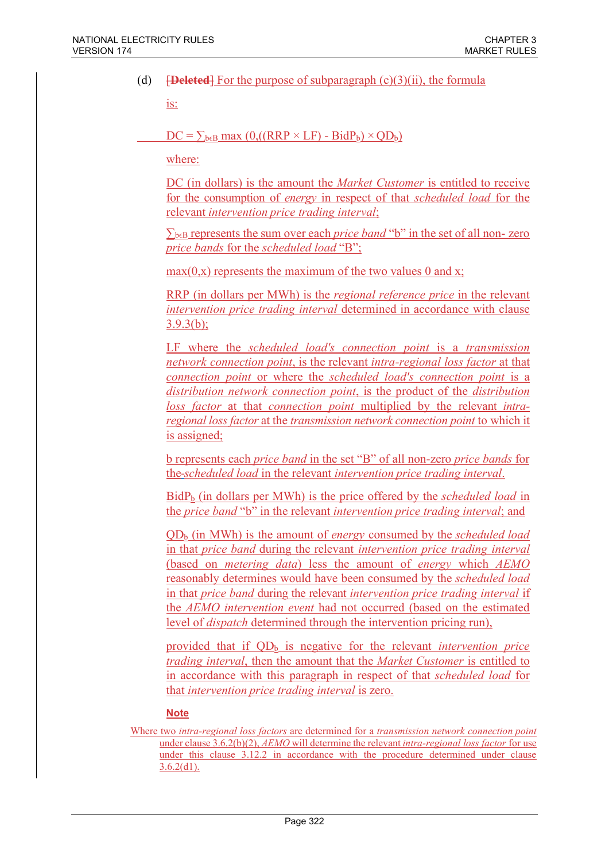(d)  $\overline{\text{Peleted}}$  For the purpose of subparagraph (c)(3)(ii), the formula

is:

 $DC = \sum_{b \in B} max (0, ((RRP \times LF) - BidP_b) \times QD_b)$ 

where:

DC (in dollars) is the amount the *Market Customer* is entitled to receive for the consumption of energy in respect of that scheduled load for the relevant intervention price trading interval;

 $\sum_{b \in B}$  represents the sum over each *price band* "b" in the set of all non-zero price bands for the scheduled load "B";

 $max(0,x)$  represents the maximum of the two values 0 and x;

RRP (in dollars per MWh) is the regional reference price in the relevant intervention price trading interval determined in accordance with clause 3.9.3(b);

LF where the *scheduled load's connection point* is a *transmission* network connection point, is the relevant intra-regional loss factor at that connection point or where the scheduled load's connection point is a distribution network connection point, is the product of the distribution loss factor at that connection point multiplied by the relevant intraregional loss factor at the transmission network connection point to which it is assigned;

b represents each price band in the set "B" of all non-zero price bands for the-scheduled load in the relevant intervention price trading interval.

 $BidP<sub>b</sub>$  (in dollars per MWh) is the price offered by the *scheduled load* in the price band "b" in the relevant intervention price trading interval; and

 $QD_b$  (in MWh) is the amount of *energy* consumed by the *scheduled load* in that price band during the relevant intervention price trading interval (based on metering data) less the amount of energy which AEMO reasonably determines would have been consumed by the scheduled load in that price band during the relevant intervention price trading interval if the AEMO intervention event had not occurred (based on the estimated level of dispatch determined through the intervention pricing run),

provided that if  $QD_b$  is negative for the relevant *intervention price* trading interval, then the amount that the Market Customer is entitled to in accordance with this paragraph in respect of that scheduled load for that intervention price trading interval is zero.

#### Note

Where two intra-regional loss factors are determined for a transmission network connection point under clause  $3.6.2(b)(2)$ , AEMO will determine the relevant intra-regional loss factor for use under this clause 3.12.2 in accordance with the procedure determined under clause  $3.6.2(d1)$ .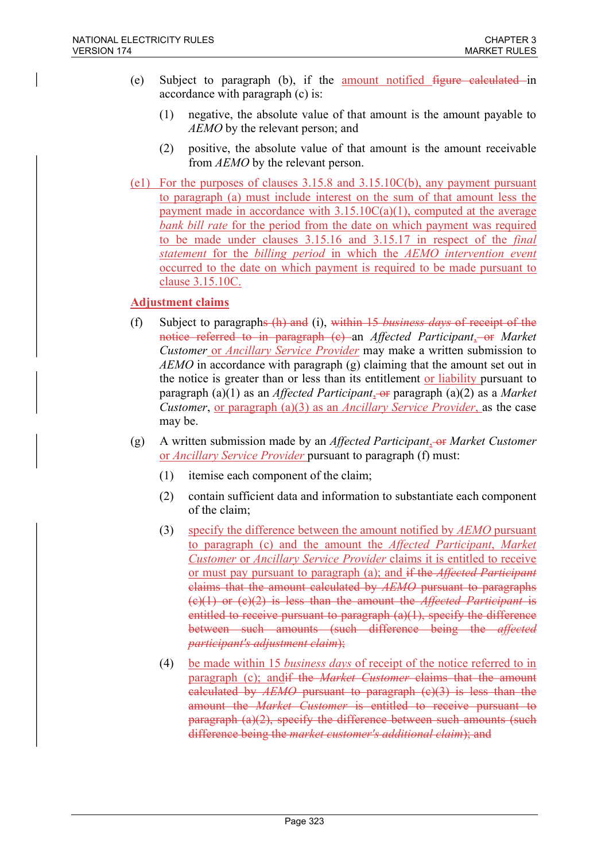- (e) Subject to paragraph (b), if the amount notified figure calculated in accordance with paragraph (c) is:
	- (1) negative, the absolute value of that amount is the amount payable to AEMO by the relevant person; and
	- (2) positive, the absolute value of that amount is the amount receivable from AEMO by the relevant person.
- (e1) For the purposes of clauses 3.15.8 and 3.15.10C(b), any payment pursuant to paragraph (a) must include interest on the sum of that amount less the payment made in accordance with  $3.15.10C(a)(1)$ , computed at the average bank bill rate for the period from the date on which payment was required to be made under clauses 3.15.16 and 3.15.17 in respect of the final statement for the billing period in which the AEMO intervention event occurred to the date on which payment is required to be made pursuant to clause 3.15.10C.

### Adjustment claims

- (f) Subject to paragraphs  $(h)$  and (i), within 15 business days of receipt of the notice referred to in paragraph  $(e)$  an Affected Participant, or Market Customer or Ancillary Service Provider may make a written submission to AEMO in accordance with paragraph (g) claiming that the amount set out in the notice is greater than or less than its entitlement or liability pursuant to paragraph (a)(1) as an *Affected Participant*, or paragraph (a)(2) as a *Market* Customer, <u>or paragraph (a)(3)</u> as an *Ancillary Service Provider*, as the case may be.
- (g) A written submission made by an *Affected Participant*, or *Market Customer* or Ancillary Service Provider pursuant to paragraph (f) must:
	- (1) itemise each component of the claim;
	- (2) contain sufficient data and information to substantiate each component of the claim;
	- (3) specify the difference between the amount notified by  $AEMO$  pursuant to paragraph (c) and the amount the Affected Participant, Market Customer or Ancillary Service Provider claims it is entitled to receive or must pay pursuant to paragraph (a); and if the *Affected Participant* claims that the amount calculated by AEMO pursuant to paragraphs  $(c)(1)$  or  $(c)(2)$  is less than the amount the *Affected Participant* is entitled to receive pursuant to paragraph (a)(1), specify the difference between such amounts (such difference being the *affected* participant's adjustment claim);
	- (4) be made within 15 business days of receipt of the notice referred to in paragraph (c); and if the *Market Customer* claims that the amount calculated by  $AEMO$  pursuant to paragraph  $(c)(3)$  is less than the amount the *Market Customer* is entitled to receive pursuant to paragraph (a)(2), specify the difference between such amounts (such difference being the market customer's additional claim); and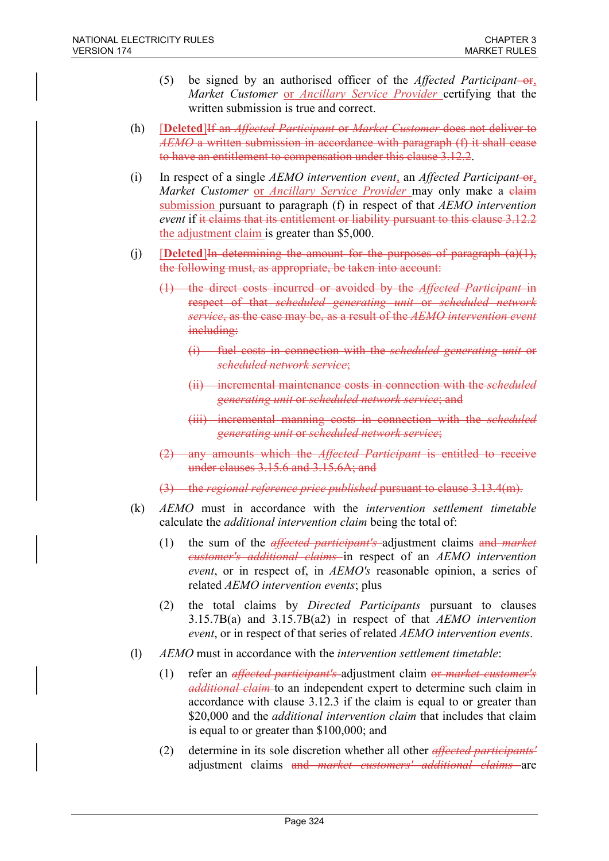- (5) be signed by an authorised officer of the *Affected Participant*- $-$ or, Market Customer or Ancillary Service Provider certifying that the written submission is true and correct.
- (h) **[Deleted]** If an *Affected Participant* or *Market Customer* does not deliver to AEMO a written submission in accordance with paragraph (f) it shall cease to have an entitlement to compensation under this clause 3.12.2.
- (i) In respect of a single AEMO intervention event, an Affected Participant-or, Market Customer or Ancillary Service Provider may only make a claim submission pursuant to paragraph (f) in respect of that AEMO intervention event if it claims that its entitlement or liability pursuant to this clause 3.12.2 the adjustment claim is greater than \$5,000.
- (j) **[Deleted]**In determining the amount for the purposes of paragraph  $(a)(1)$ , the following must, as appropriate, be taken into account:
	- (1) the direct costs incurred or avoided by the Affected Participant in respect of that scheduled generating unit or scheduled network service, as the case may be, as a result of the AEMO intervention event including:
		- (i) fuel costs in connection with the *scheduled generating unit* or scheduled network service;
		- (ii) incremental maintenance costs in connection with the *scheduled* generating unit or scheduled network service; and
		- (iii) incremental manning costs in connection with the *scheduled* generating unit or scheduled network service;
	- (2) any amounts which the Affected Participant is entitled to receive under clauses 3.15.6 and 3.15.6A; and
	- (3) the regional reference price published pursuant to clause 3.13.4(m).
- (k) AEMO must in accordance with the intervention settlement timetable calculate the additional intervention claim being the total of:
	- (1) the sum of the *effected participant's* adjustment claims and *market* customer's additional claims in respect of an AEMO intervention event, or in respect of, in AEMO's reasonable opinion, a series of related *AEMO* intervention events; plus
	- (2) the total claims by Directed Participants pursuant to clauses 3.15.7B(a) and 3.15.7B(a2) in respect of that  $AEMO$  intervention event, or in respect of that series of related AEMO intervention events.
- (l) AEMO must in accordance with the intervention settlement timetable:
	- (1) refer an *effected participant's*-adjustment claim or *market customer's* additional claim to an independent expert to determine such claim in accordance with clause 3.12.3 if the claim is equal to or greater than \$20,000 and the *additional intervention claim* that includes that claim is equal to or greater than \$100,000; and
	- (2) determine in its sole discretion whether all other *affected participants'* adjustment claims and *market customers' additional claims* are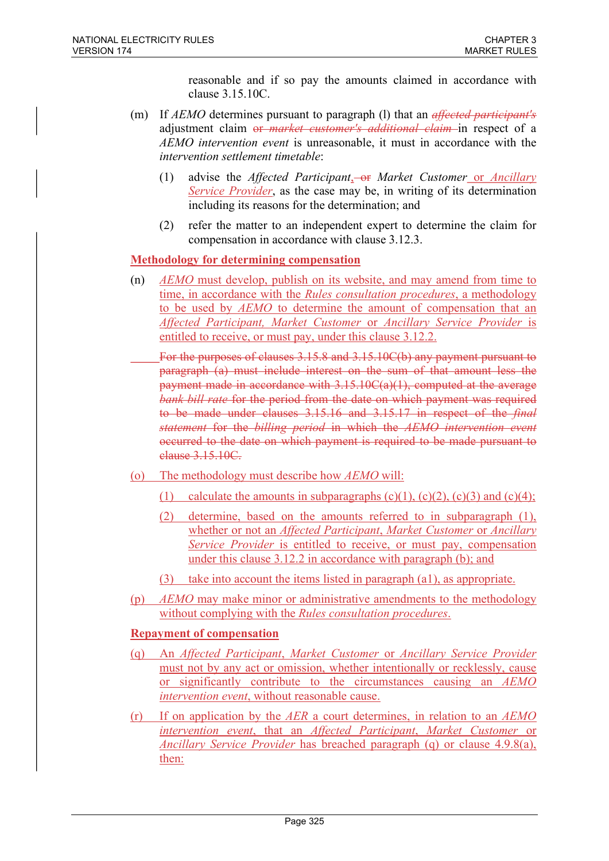reasonable and if so pay the amounts claimed in accordance with clause 3.15.10C.

- (m) If  $AEMO$  determines pursuant to paragraph (1) that an *affected participant's* adjustment claim or market customer's additional claim in respect of a AEMO intervention event is unreasonable, it must in accordance with the intervention settlement timetable:
	- (1) advise the *Affected Participant*,  $\overline{\Theta}$  *Market Customer or Ancillary* Service Provider, as the case may be, in writing of its determination including its reasons for the determination; and
	- (2) refer the matter to an independent expert to determine the claim for compensation in accordance with clause 3.12.3.

### Methodology for determining compensation

(n) AEMO must develop, publish on its website, and may amend from time to time, in accordance with the Rules consultation procedures, a methodology to be used by AEMO to determine the amount of compensation that an Affected Participant, Market Customer or Ancillary Service Provider is entitled to receive, or must pay, under this clause 3.12.2.

 For the purposes of clauses 3.15.8 and 3.15.10C(b) any payment pursuant to paragraph (a) must include interest on the sum of that amount less the payment made in accordance with 3.15.10C(a)(1), computed at the average bank bill rate for the period from the date on which payment was required to be made under clauses 3.15.16 and 3.15.17 in respect of the final statement for the billing period in which the AEMO intervention event occurred to the date on which payment is required to be made pursuant to clause 3.15.10C.

- (o) The methodology must describe how AEMO will:
	- (1) calculate the amounts in subparagraphs  $(c)(1)$ ,  $(c)(2)$ ,  $(c)(3)$  and  $(c)(4)$ ;
	- (2) determine, based on the amounts referred to in subparagraph (1), whether or not an *Affected Participant*, Market Customer or Ancillary Service Provider is entitled to receive, or must pay, compensation under this clause 3.12.2 in accordance with paragraph (b); and
	- (3) take into account the items listed in paragraph (a1), as appropriate.
- (p) AEMO may make minor or administrative amendments to the methodology without complying with the *Rules consultation procedures*.

#### Repayment of compensation

- (q) An Affected Participant, Market Customer or Ancillary Service Provider must not by any act or omission, whether intentionally or recklessly, cause or significantly contribute to the circumstances causing an AEMO intervention event, without reasonable cause.
- (r) If on application by the  $AER$  a court determines, in relation to an  $AEMO$ intervention event, that an Affected Participant, Market Customer or Ancillary Service Provider has breached paragraph (q) or clause 4.9.8(a), then: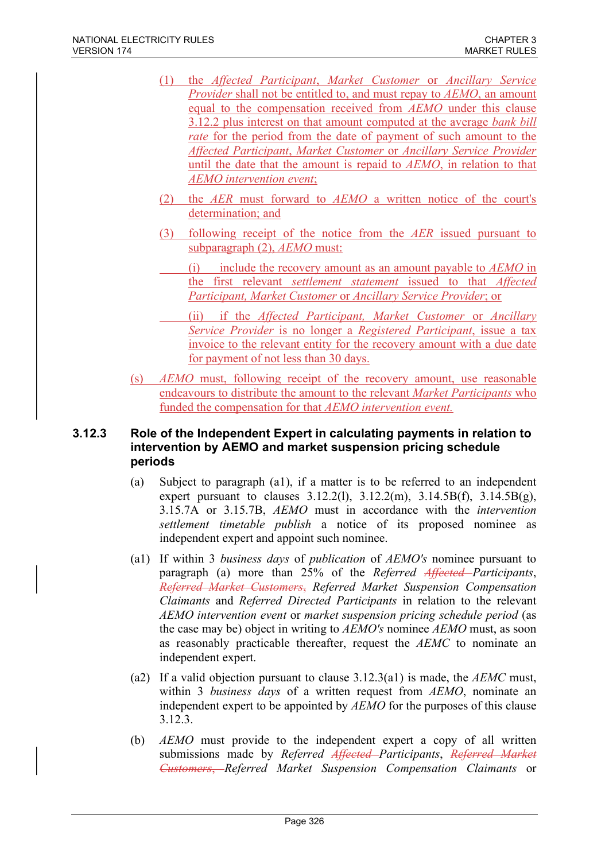- (1) the Affected Participant, Market Customer or Ancillary Service Provider shall not be entitled to, and must repay to AEMO, an amount equal to the compensation received from AEMO under this clause 3.12.2 plus interest on that amount computed at the average bank bill rate for the period from the date of payment of such amount to the Affected Participant, Market Customer or Ancillary Service Provider until the date that the amount is repaid to AEMO, in relation to that AEMO intervention event;
- (2) the AER must forward to AEMO a written notice of the court's determination; and
- (3) following receipt of the notice from the AER issued pursuant to subparagraph (2), AEMO must:
	- (i) include the recovery amount as an amount payable to  $AEMO$  in the first relevant settlement statement issued to that Affected Participant, Market Customer or Ancillary Service Provider; or
	- (ii) if the Affected Participant, Market Customer or Ancillary Service Provider is no longer a Registered Participant, issue a tax invoice to the relevant entity for the recovery amount with a due date for payment of not less than 30 days.
- (s) AEMO must, following receipt of the recovery amount, use reasonable endeavours to distribute the amount to the relevant Market Participants who funded the compensation for that AEMO intervention event.

### 3.12.3 Role of the Independent Expert in calculating payments in relation to intervention by AEMO and market suspension pricing schedule periods

- (a) Subject to paragraph (a1), if a matter is to be referred to an independent expert pursuant to clauses  $3.12.2(1)$ ,  $3.12.2(m)$ ,  $3.14.5B(f)$ ,  $3.14.5B(g)$ , 3.15.7A or 3.15.7B, AEMO must in accordance with the intervention settlement timetable publish a notice of its proposed nominee as independent expert and appoint such nominee.
- (a1) If within 3 business days of publication of AEMO's nominee pursuant to paragraph (a) more than 25% of the Referred Affected Participants, Referred Market Customers, Referred Market Suspension Compensation Claimants and Referred Directed Participants in relation to the relevant AEMO intervention event or market suspension pricing schedule period (as the case may be) object in writing to AEMO's nominee AEMO must, as soon as reasonably practicable thereafter, request the AEMC to nominate an independent expert.
- (a2) If a valid objection pursuant to clause  $3.12.3(a1)$  is made, the AEMC must, within 3 business days of a written request from AEMO, nominate an independent expert to be appointed by AEMO for the purposes of this clause 3.12.3.
- (b) AEMO must provide to the independent expert a copy of all written submissions made by Referred Affected–Participants, Referred Market Customers, Referred Market Suspension Compensation Claimants or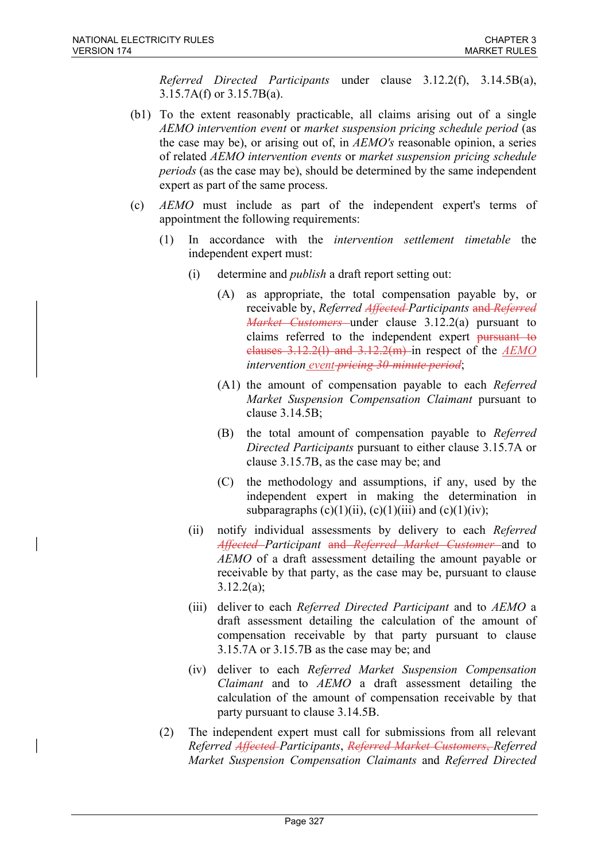Referred Directed Participants under clause 3.12.2(f), 3.14.5B(a), 3.15.7A(f) or 3.15.7B(a).

- (b1) To the extent reasonably practicable, all claims arising out of a single AEMO intervention event or market suspension pricing schedule period (as the case may be), or arising out of, in AEMO's reasonable opinion, a series of related AEMO intervention events or market suspension pricing schedule periods (as the case may be), should be determined by the same independent expert as part of the same process.
- (c) AEMO must include as part of the independent expert's terms of appointment the following requirements:
	- (1) In accordance with the intervention settlement timetable the independent expert must:
		- (i) determine and publish a draft report setting out:
			- (A) as appropriate, the total compensation payable by, or receivable by, Referred Affected Participants and Referred *Market Customers* under clause 3.12.2(a) pursuant to claims referred to the independent expert pursuant to clauses  $3.12.2(1)$  and  $3.12.2(m)$  in respect of the  $AEMO$ intervention event-pricing 30-minute period;
			- (A1) the amount of compensation payable to each Referred Market Suspension Compensation Claimant pursuant to clause 3.14.5B;
			- (B) the total amount of compensation payable to Referred Directed Participants pursuant to either clause 3.15.7A or clause 3.15.7B, as the case may be; and
			- (C) the methodology and assumptions, if any, used by the independent expert in making the determination in subparagraphs  $(c)(1)(ii)$ ,  $(c)(1)(iii)$  and  $(c)(1)(iv)$ ;
		- (ii) notify individual assessments by delivery to each Referred Affected–Participant and Referred Market Customer and to AEMO of a draft assessment detailing the amount payable or receivable by that party, as the case may be, pursuant to clause 3.12.2(a);
		- (iii) deliver to each *Referred Directed Participant* and to AEMO a draft assessment detailing the calculation of the amount of compensation receivable by that party pursuant to clause 3.15.7A or 3.15.7B as the case may be; and
		- (iv) deliver to each Referred Market Suspension Compensation Claimant and to AEMO a draft assessment detailing the calculation of the amount of compensation receivable by that party pursuant to clause 3.14.5B.
	- (2) The independent expert must call for submissions from all relevant Referred Affected Participants, Referred Market Customers, Referred Market Suspension Compensation Claimants and Referred Directed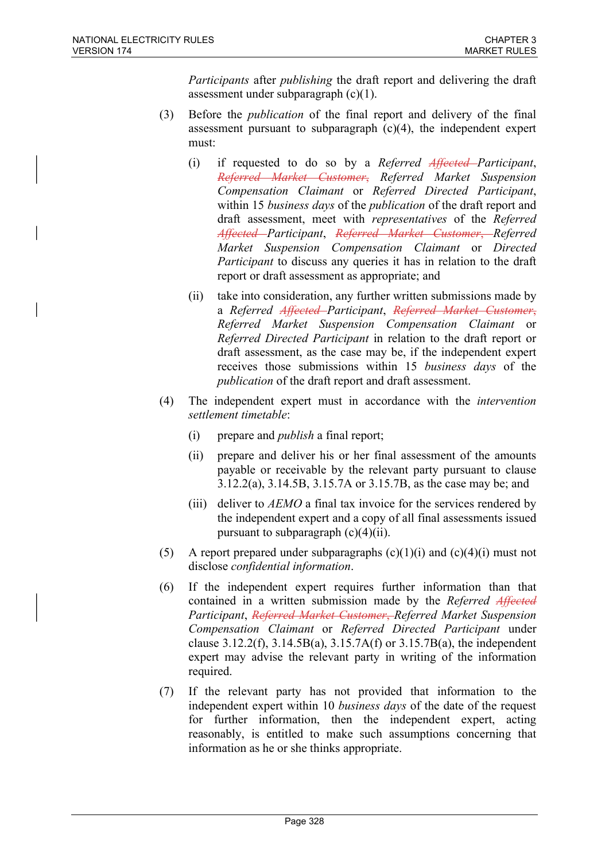Participants after publishing the draft report and delivering the draft assessment under subparagraph (c)(1).

- (3) Before the publication of the final report and delivery of the final assessment pursuant to subparagraph (c)(4), the independent expert must:
	- (i) if requested to do so by a Referred Affected Participant, Referred Market Customer, Referred Market Suspension Compensation Claimant or Referred Directed Participant, within 15 *business days* of the *publication* of the draft report and draft assessment, meet with representatives of the Referred Affected–Participant, Referred–Market–Customer, Referred Market Suspension Compensation Claimant or Directed Participant to discuss any queries it has in relation to the draft report or draft assessment as appropriate; and
	- (ii) take into consideration, any further written submissions made by a Referred Affected-Participant, Referred Market Customer, Referred Market Suspension Compensation Claimant or Referred Directed Participant in relation to the draft report or draft assessment, as the case may be, if the independent expert receives those submissions within 15 business days of the publication of the draft report and draft assessment.
- (4) The independent expert must in accordance with the intervention settlement timetable:
	- (i) prepare and publish a final report;
	- (ii) prepare and deliver his or her final assessment of the amounts payable or receivable by the relevant party pursuant to clause 3.12.2(a), 3.14.5B, 3.15.7A or 3.15.7B, as the case may be; and
	- (iii) deliver to *AEMO* a final tax invoice for the services rendered by the independent expert and a copy of all final assessments issued pursuant to subparagraph  $(c)(4)(ii)$ .
- (5) A report prepared under subparagraphs  $(c)(1)(i)$  and  $(c)(4)(i)$  must not disclose confidential information.
- (6) If the independent expert requires further information than that contained in a written submission made by the Referred Affected Participant, Referred Market Customer, Referred Market Suspension Compensation Claimant or Referred Directed Participant under clause  $3.12.2(f)$ ,  $3.14.5B(a)$ ,  $3.15.7A(f)$  or  $3.15.7B(a)$ , the independent expert may advise the relevant party in writing of the information required.
- (7) If the relevant party has not provided that information to the independent expert within 10 *business days* of the date of the request for further information, then the independent expert, acting reasonably, is entitled to make such assumptions concerning that information as he or she thinks appropriate.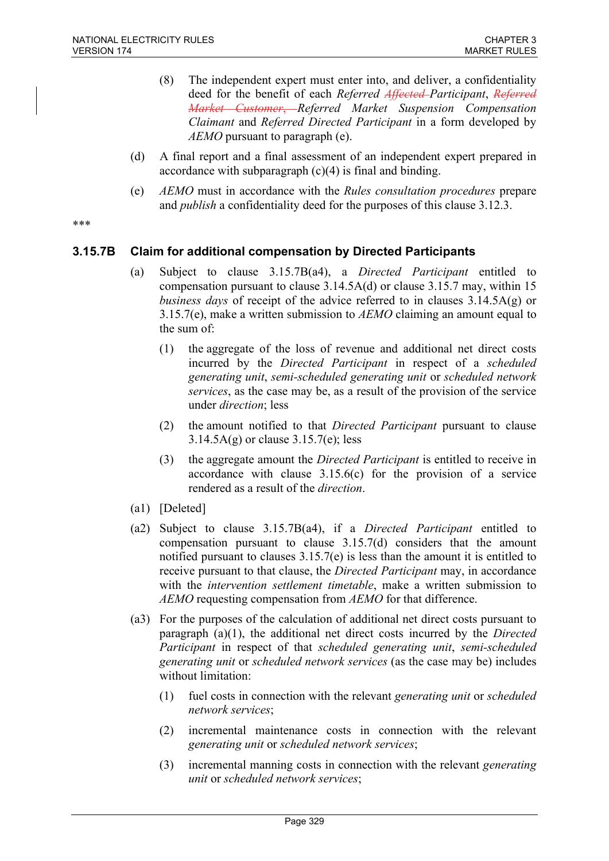- (8) The independent expert must enter into, and deliver, a confidentiality deed for the benefit of each Referred Affected-Participant, Referred Market Customer, Referred Market Suspension Compensation Claimant and Referred Directed Participant in a form developed by  $AEMO$  pursuant to paragraph (e).
- (d) A final report and a final assessment of an independent expert prepared in accordance with subparagraph (c)(4) is final and binding.
- (e) AEMO must in accordance with the Rules consultation procedures prepare and *publish* a confidentiality deed for the purposes of this clause 3.12.3.

\*\*\*

### 3.15.7B Claim for additional compensation by Directed Participants

- (a) Subject to clause 3.15.7B(a4), a Directed Participant entitled to compensation pursuant to clause 3.14.5A(d) or clause 3.15.7 may, within 15 business days of receipt of the advice referred to in clauses  $3.14.5A(g)$  or 3.15.7(e), make a written submission to  $AEMO$  claiming an amount equal to the sum of:
	- (1) the aggregate of the loss of revenue and additional net direct costs incurred by the Directed Participant in respect of a scheduled generating unit, semi-scheduled generating unit or scheduled network services, as the case may be, as a result of the provision of the service under direction; less
	- (2) the amount notified to that Directed Participant pursuant to clause  $3.14.5A(g)$  or clause  $3.15.7(e)$ ; less
	- (3) the aggregate amount the Directed Participant is entitled to receive in accordance with clause 3.15.6(c) for the provision of a service rendered as a result of the direction.
- (a1) [Deleted]
- (a2) Subject to clause 3.15.7B(a4), if a Directed Participant entitled to compensation pursuant to clause 3.15.7(d) considers that the amount notified pursuant to clauses 3.15.7(e) is less than the amount it is entitled to receive pursuant to that clause, the *Directed Participant* may, in accordance with the *intervention settlement timetable*, make a written submission to AEMO requesting compensation from AEMO for that difference.
- (a3) For the purposes of the calculation of additional net direct costs pursuant to paragraph (a)(1), the additional net direct costs incurred by the Directed Participant in respect of that scheduled generating unit, semi-scheduled generating unit or scheduled network services (as the case may be) includes without limitation:
	- (1) fuel costs in connection with the relevant generating unit or scheduled network services;
	- (2) incremental maintenance costs in connection with the relevant generating unit or scheduled network services;
	- (3) incremental manning costs in connection with the relevant generating unit or scheduled network services;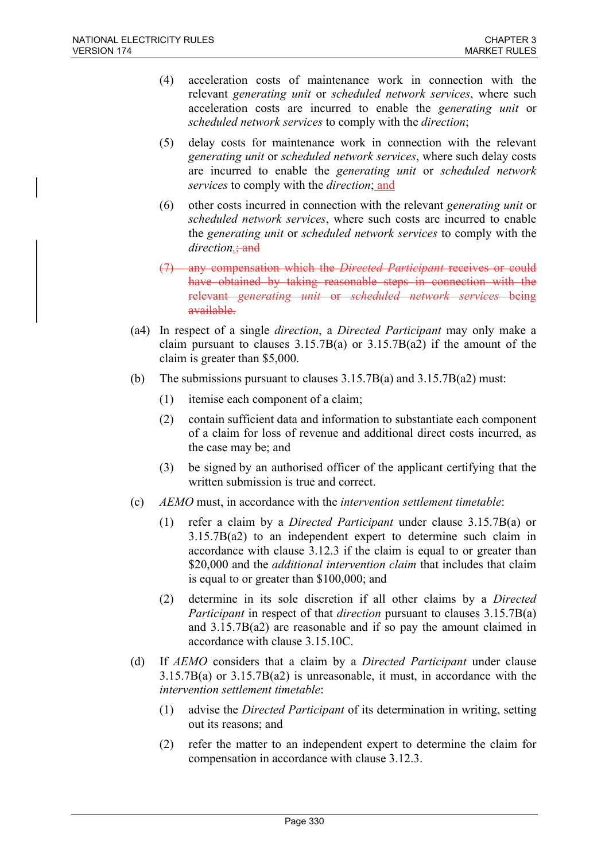- (4) acceleration costs of maintenance work in connection with the relevant generating unit or scheduled network services, where such acceleration costs are incurred to enable the generating unit or scheduled network services to comply with the direction;
- (5) delay costs for maintenance work in connection with the relevant generating unit or scheduled network services, where such delay costs are incurred to enable the generating unit or scheduled network services to comply with the *direction*; and
- (6) other costs incurred in connection with the relevant generating unit or scheduled network services, where such costs are incurred to enable the generating unit or scheduled network services to comply with the direction.; and
- (7) any compensation which the Directed Participant receives or could have obtained by taking reasonable steps in connection with the relevant generating unit or scheduled network services being available.
- (a4) In respect of a single direction, a Directed Participant may only make a claim pursuant to clauses  $3.15.7B(a)$  or  $3.15.7B(a2)$  if the amount of the claim is greater than \$5,000.
- (b) The submissions pursuant to clauses 3.15.7B(a) and 3.15.7B(a2) must:
	- (1) itemise each component of a claim;
	- (2) contain sufficient data and information to substantiate each component of a claim for loss of revenue and additional direct costs incurred, as the case may be; and
	- (3) be signed by an authorised officer of the applicant certifying that the written submission is true and correct.
- (c)  $AEMO$  must, in accordance with the *intervention settlement timetable*:
	- (1) refer a claim by a Directed Participant under clause 3.15.7B(a) or 3.15.7B(a2) to an independent expert to determine such claim in accordance with clause 3.12.3 if the claim is equal to or greater than \$20,000 and the *additional intervention claim* that includes that claim is equal to or greater than \$100,000; and
	- (2) determine in its sole discretion if all other claims by a Directed Participant in respect of that direction pursuant to clauses 3.15.7B(a) and 3.15.7B(a2) are reasonable and if so pay the amount claimed in accordance with clause 3.15.10C.
- (d) If AEMO considers that a claim by a Directed Participant under clause 3.15.7B(a) or 3.15.7B(a2) is unreasonable, it must, in accordance with the intervention settlement timetable:
	- (1) advise the Directed Participant of its determination in writing, setting out its reasons; and
	- (2) refer the matter to an independent expert to determine the claim for compensation in accordance with clause 3.12.3.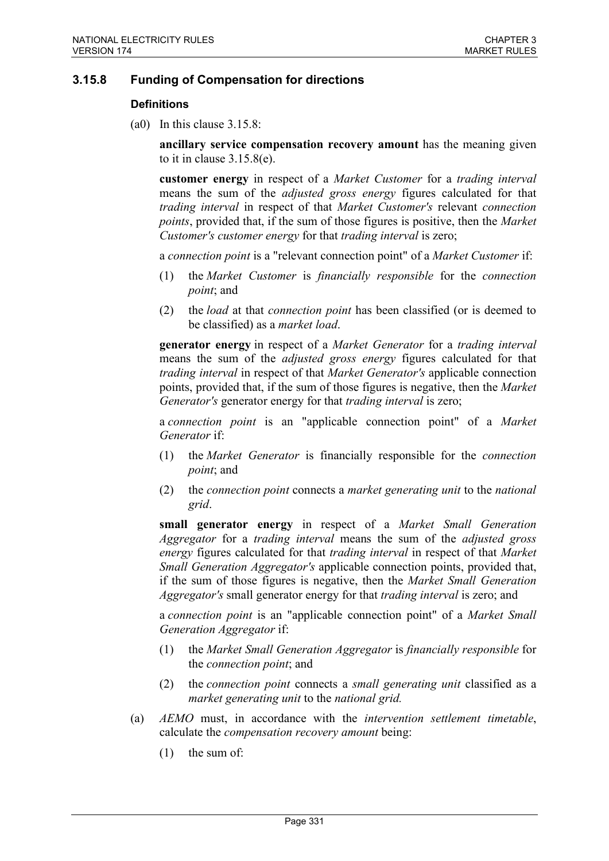### 3.15.8 Funding of Compensation for directions

#### **Definitions**

(a0) In this clause 3.15.8:

ancillary service compensation recovery amount has the meaning given to it in clause 3.15.8(e).

customer energy in respect of a Market Customer for a trading interval means the sum of the adjusted gross energy figures calculated for that trading interval in respect of that Market Customer's relevant connection points, provided that, if the sum of those figures is positive, then the Market Customer's customer energy for that trading interval is zero;

a connection point is a "relevant connection point" of a Market Customer if:

- (1) the Market Customer is financially responsible for the connection point; and
- (2) the load at that connection point has been classified (or is deemed to be classified) as a market load.

generator energy in respect of a Market Generator for a trading interval means the sum of the *adjusted gross energy* figures calculated for that trading interval in respect of that Market Generator's applicable connection points, provided that, if the sum of those figures is negative, then the Market Generator's generator energy for that trading interval is zero;

a connection point is an "applicable connection point" of a Market Generator if:

- (1) the Market Generator is financially responsible for the connection *point*; and
- (2) the connection point connects a market generating unit to the national grid.

small generator energy in respect of a Market Small Generation Aggregator for a trading interval means the sum of the adjusted gross energy figures calculated for that trading interval in respect of that Market Small Generation Aggregator's applicable connection points, provided that, if the sum of those figures is negative, then the Market Small Generation Aggregator's small generator energy for that trading interval is zero; and

a connection point is an "applicable connection point" of a Market Small Generation Aggregator if:

- (1) the Market Small Generation Aggregator is financially responsible for the connection point; and
- (2) the connection point connects a small generating unit classified as a market generating unit to the national grid.
- (a) AEMO must, in accordance with the intervention settlement timetable, calculate the compensation recovery amount being:
	- (1) the sum of: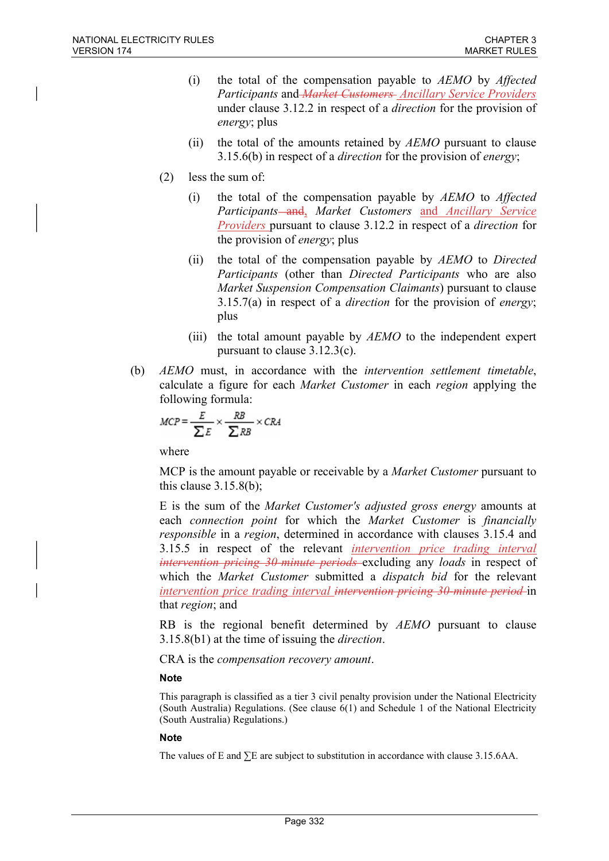- (i) the total of the compensation payable to AEMO by Affected Participants and Market Customers Ancillary Service Providers under clause 3.12.2 in respect of a direction for the provision of energy; plus
- (ii) the total of the amounts retained by  $AEMO$  pursuant to clause 3.15.6(b) in respect of a *direction* for the provision of *energy*;
- (2) less the sum of:
	- (i) the total of the compensation payable by AEMO to Affected Participants—and, Market Customers and Ancillary Service Providers pursuant to clause 3.12.2 in respect of a direction for the provision of energy; plus
	- (ii) the total of the compensation payable by AEMO to Directed Participants (other than Directed Participants who are also Market Suspension Compensation Claimants) pursuant to clause  $3.15.7(a)$  in respect of a *direction* for the provision of *energy*; plus
	- (iii) the total amount payable by  $AEMO$  to the independent expert pursuant to clause 3.12.3(c).
- (b) AEMO must, in accordance with the intervention settlement timetable, calculate a figure for each Market Customer in each region applying the following formula:

$$
MCP = \frac{E}{\sum E} \times \frac{RB}{\sum RB} \times CRA
$$

where

MCP is the amount payable or receivable by a *Market Customer* pursuant to this clause 3.15.8(b);

E is the sum of the Market Customer's adjusted gross energy amounts at each connection point for which the Market Customer is financially responsible in a region, determined in accordance with clauses 3.15.4 and 3.15.5 in respect of the relevant *intervention price trading interval* intervention pricing 30-minute periods excluding any loads in respect of which the Market Customer submitted a dispatch bid for the relevant intervention price trading interval intervention pricing 30-minute period in that region; and

RB is the regional benefit determined by AEMO pursuant to clause  $3.15.8(b1)$  at the time of issuing the *direction*.

CRA is the compensation recovery amount.

#### **Note**

This paragraph is classified as a tier 3 civil penalty provision under the National Electricity (South Australia) Regulations. (See clause 6(1) and Schedule 1 of the National Electricity (South Australia) Regulations.)

#### Note

The values of E and  $\Sigma$ E are subject to substitution in accordance with clause 3.15.6AA.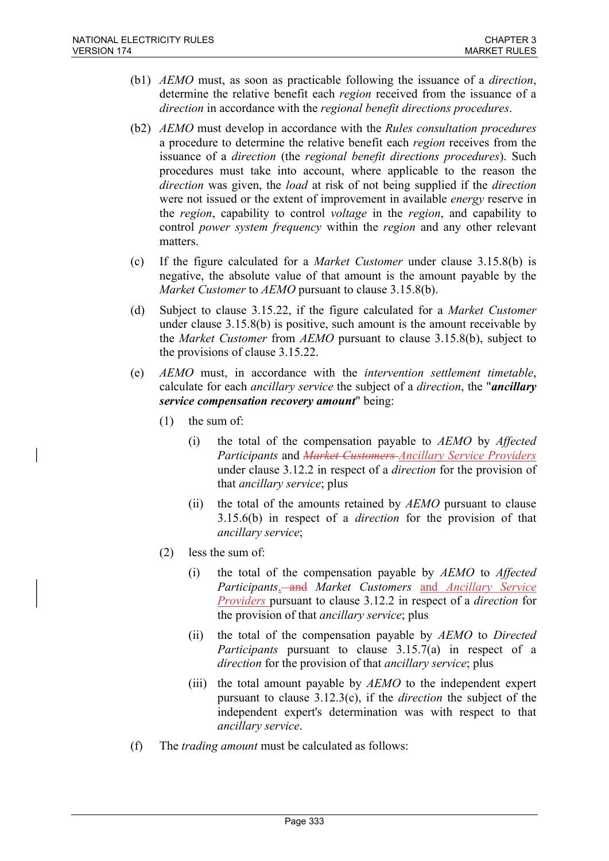- (b1) AEMO must, as soon as practicable following the issuance of a direction, determine the relative benefit each region received from the issuance of a direction in accordance with the regional benefit directions procedures.
- (b2) AEMO must develop in accordance with the Rules consultation procedures a procedure to determine the relative benefit each region receives from the issuance of a direction (the regional benefit directions procedures). Such procedures must take into account, where applicable to the reason the direction was given, the *load* at risk of not being supplied if the *direction* were not issued or the extent of improvement in available *energy* reserve in the region, capability to control voltage in the region, and capability to control power system frequency within the region and any other relevant matters.
- (c) If the figure calculated for a Market Customer under clause 3.15.8(b) is negative, the absolute value of that amount is the amount payable by the Market Customer to AEMO pursuant to clause 3.15.8(b).
- (d) Subject to clause 3.15.22, if the figure calculated for a Market Customer under clause 3.15.8(b) is positive, such amount is the amount receivable by the Market Customer from AEMO pursuant to clause 3.15.8(b), subject to the provisions of clause 3.15.22.
- (e) AEMO must, in accordance with the intervention settlement timetable, calculate for each *ancillary service* the subject of a *direction*, the "*ancillary* service compensation recovery amount" being:
	- (1) the sum of:
		- (i) the total of the compensation payable to  $AEMO$  by  $Affected$ Participants and Market Customers-Ancillary Service Providers under clause 3.12.2 in respect of a direction for the provision of that ancillary service; plus
		- (ii) the total of the amounts retained by AEMO pursuant to clause 3.15.6(b) in respect of a direction for the provision of that ancillary service;
	- (2) less the sum of:
		- (i) the total of the compensation payable by  $AEMO$  to  $Affected$ Participants, and Market Customers and Ancillary Service Providers pursuant to clause 3.12.2 in respect of a direction for the provision of that ancillary service; plus
		- (ii) the total of the compensation payable by  $AEMO$  to Directed Participants pursuant to clause 3.15.7(a) in respect of a direction for the provision of that ancillary service; plus
		- (iii) the total amount payable by  $AEMO$  to the independent expert pursuant to clause  $3.12.3(c)$ , if the *direction* the subject of the independent expert's determination was with respect to that ancillary service.
- (f) The trading amount must be calculated as follows: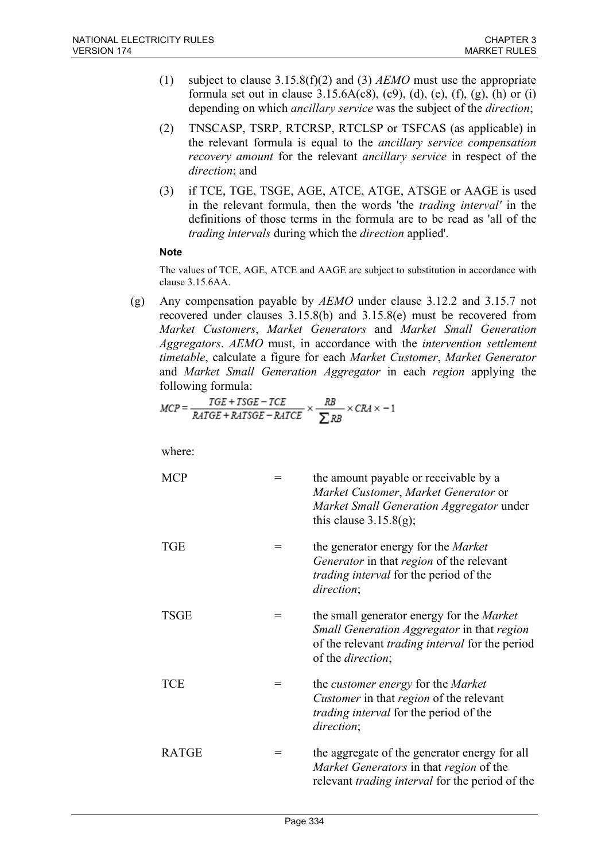- (1) subject to clause  $3.15.8(f)(2)$  and (3) AEMO must use the appropriate formula set out in clause  $3.15.6A(c8)$ ,  $(c9)$ ,  $(d)$ ,  $(e)$ ,  $(f)$ ,  $(g)$ ,  $(h)$  or  $(i)$ depending on which ancillary service was the subject of the direction;
- (2) TNSCASP, TSRP, RTCRSP, RTCLSP or TSFCAS (as applicable) in the relevant formula is equal to the ancillary service compensation recovery amount for the relevant ancillary service in respect of the direction; and
- (3) if TCE, TGE, TSGE, AGE, ATCE, ATGE, ATSGE or AAGE is used in the relevant formula, then the words 'the trading interval' in the definitions of those terms in the formula are to be read as 'all of the trading intervals during which the direction applied'.

### **Note**

The values of TCE, AGE, ATCE and AAGE are subject to substitution in accordance with clause 3.15.6AA.

(g) Any compensation payable by  $AEMO$  under clause 3.12.2 and 3.15.7 not recovered under clauses 3.15.8(b) and 3.15.8(e) must be recovered from Market Customers, Market Generators and Market Small Generation Aggregators. AEMO must, in accordance with the intervention settlement timetable, calculate a figure for each Market Customer, Market Generator and Market Small Generation Aggregator in each region applying the following formula:

$$
MCP = \frac{TGE + TSGE - TCE}{RATGE + RATSGE - RATCE} \times \frac{RB}{\sum RB} \times CRA \times -1
$$

where:

 $MCP =$  the amount payable or receivable by a Market Customer, Market Generator or Market Small Generation Aggregator under this clause  $3.15.8(g)$ ;  $TGE$  = the generator energy for the *Market* Generator in that region of the relevant trading interval for the period of the direction;  $TSGE$  = the small generator energy for the *Market* Small Generation Aggregator in that region of the relevant trading interval for the period of the direction; TCE  $=$  the *customer energy* for the *Market* Customer in that region of the relevant trading interval for the period of the direction; RATGE  $=$  the aggregate of the generator energy for all Market Generators in that region of the relevant trading interval for the period of the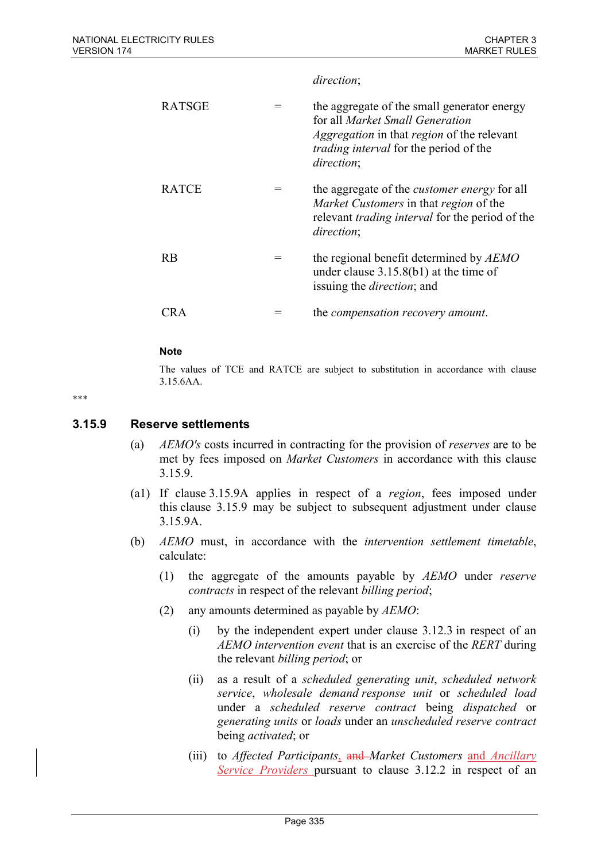#### direction;

| <b>RATSGE</b> | the aggregate of the small generator energy<br>for all Market Small Generation<br><i>Aggregation</i> in that <i>region</i> of the relevant<br><i>trading interval</i> for the period of the<br>direction; |
|---------------|-----------------------------------------------------------------------------------------------------------------------------------------------------------------------------------------------------------|
| <b>RATCE</b>  | the aggregate of the <i>customer energy</i> for all<br>Market Customers in that region of the<br>relevant <i>trading interval</i> for the period of the<br>direction;                                     |
| <b>RB</b>     | the regional benefit determined by AEMO<br>under clause $3.15.8(b1)$ at the time of<br>issuing the <i>direction</i> ; and                                                                                 |
|               | the <i>compensation recovery amount</i> .                                                                                                                                                                 |

#### **Note**

The values of TCE and RATCE are subject to substitution in accordance with clause 3.15.6AA.

\*\*\*

#### 3.15.9 Reserve settlements

- (a) AEMO's costs incurred in contracting for the provision of reserves are to be met by fees imposed on Market Customers in accordance with this clause 3.15.9.
- (a1) If clause 3.15.9A applies in respect of a region, fees imposed under this clause 3.15.9 may be subject to subsequent adjustment under clause 3.15.9A.
- (b) AEMO must, in accordance with the intervention settlement timetable, calculate:
	- (1) the aggregate of the amounts payable by AEMO under reserve contracts in respect of the relevant billing period;
	- (2) any amounts determined as payable by AEMO:
		- (i) by the independent expert under clause 3.12.3 in respect of an AEMO intervention event that is an exercise of the RERT during the relevant billing period; or
		- (ii) as a result of a scheduled generating unit, scheduled network service, wholesale demand response unit or scheduled load under a scheduled reserve contract being dispatched or generating units or loads under an unscheduled reserve contract being activated; or
		- (iii) to Affected Participants, and Market Customers and Ancillary Service Providers pursuant to clause 3.12.2 in respect of an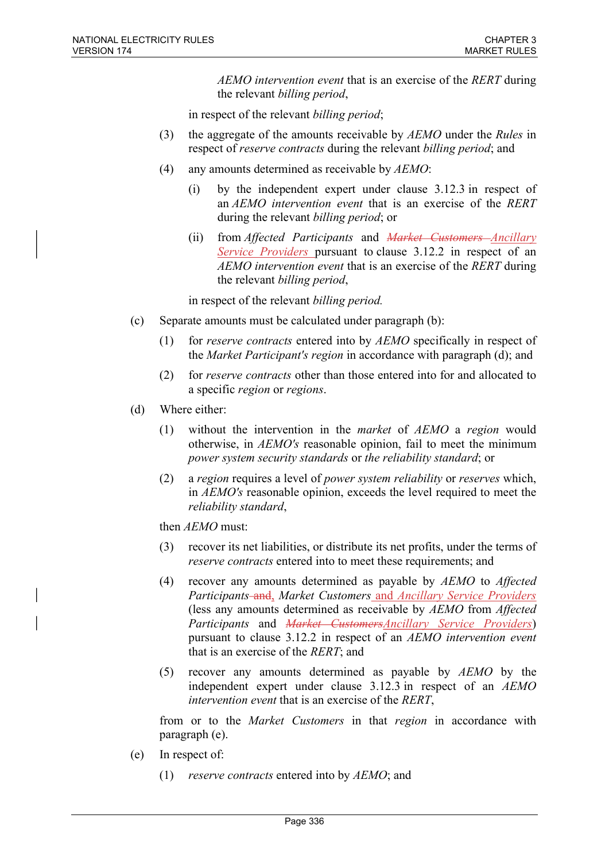AEMO intervention event that is an exercise of the RERT during the relevant billing period,

in respect of the relevant billing period;

- (3) the aggregate of the amounts receivable by  $AEMO$  under the Rules in respect of *reserve contracts* during the relevant *billing period*; and
- (4) any amounts determined as receivable by  $AEMO$ :
	- (i) by the independent expert under clause 3.12.3 in respect of an AEMO intervention event that is an exercise of the RERT during the relevant billing period; or
	- (ii) from *Affected Participants* and *Market Customers Ancillary* Service Providers pursuant to clause 3.12.2 in respect of an AEMO intervention event that is an exercise of the RERT during the relevant billing period,

in respect of the relevant billing period.

- (c) Separate amounts must be calculated under paragraph (b):
	- (1) for reserve contracts entered into by AEMO specifically in respect of the Market Participant's region in accordance with paragraph (d); and
	- (2) for reserve contracts other than those entered into for and allocated to a specific region or regions.
- (d) Where either:
	- (1) without the intervention in the market of AEMO a region would otherwise, in AEMO's reasonable opinion, fail to meet the minimum power system security standards or the reliability standard; or
	- (2) a region requires a level of power system reliability or reserves which, in AEMO's reasonable opinion, exceeds the level required to meet the reliability standard,

then AEMO must:

- (3) recover its net liabilities, or distribute its net profits, under the terms of reserve contracts entered into to meet these requirements; and
- (4) recover any amounts determined as payable by AEMO to Affected Participants–and, Market Customers and Ancillary Service Providers (less any amounts determined as receivable by AEMO from Affected Participants and *Market CustomersAncillary Service Providers*) pursuant to clause 3.12.2 in respect of an AEMO intervention event that is an exercise of the RERT; and
- (5) recover any amounts determined as payable by AEMO by the independent expert under clause 3.12.3 in respect of an AEMO intervention event that is an exercise of the RERT,

from or to the Market Customers in that region in accordance with paragraph (e).

- (e) In respect of:
	- (1) reserve contracts entered into by  $AEMO$ ; and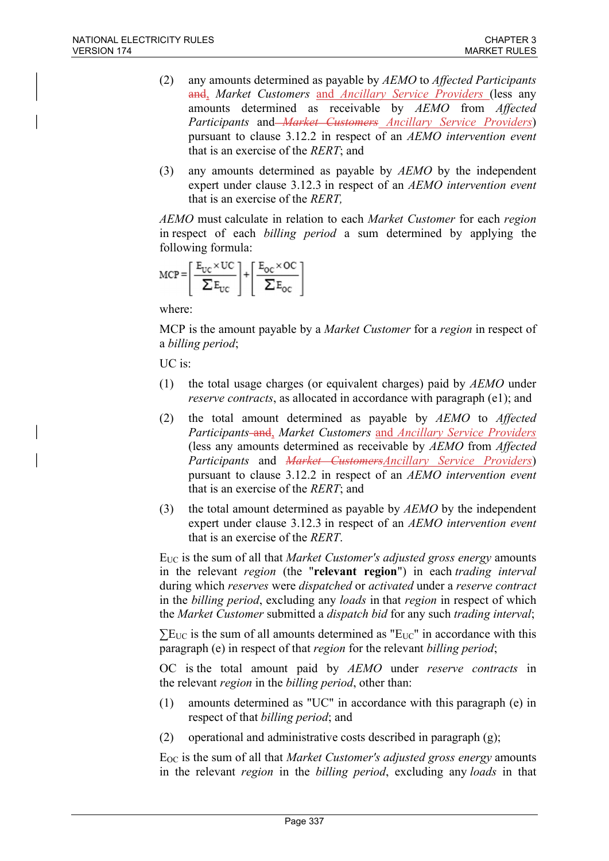- (2) any amounts determined as payable by  $AEMO$  to *Affected Participants* and, Market Customers and Ancillary Service Providers (less any amounts determined as receivable by AEMO from Affected Participants and *Market Customers Ancillary Service Providers*) pursuant to clause 3.12.2 in respect of an AEMO intervention event that is an exercise of the RERT; and
- (3) any amounts determined as payable by AEMO by the independent expert under clause 3.12.3 in respect of an AEMO intervention event that is an exercise of the RERT,

AEMO must calculate in relation to each Market Customer for each region in respect of each billing period a sum determined by applying the following formula:

$$
MCP = \left[\frac{E_{UC} \times UC}{\sum E_{UC}}\right] + \left[\frac{E_{OC} \times OC}{\sum E_{OC}}\right]
$$

where:

MCP is the amount payable by a *Market Customer* for a *region* in respect of a billing period;

UC is:

- (1) the total usage charges (or equivalent charges) paid by  $AEMO$  under reserve contracts, as allocated in accordance with paragraph (e1); and
- (2) the total amount determined as payable by AEMO to Affected Participants–and, Market Customers and Ancillary Service Providers (less any amounts determined as receivable by AEMO from Affected Participants and <del>Market Customers</del> Ancillary Service Providers) pursuant to clause 3.12.2 in respect of an AEMO intervention event that is an exercise of the RERT; and
- (3) the total amount determined as payable by  $AEMO$  by the independent expert under clause 3.12.3 in respect of an AEMO intervention event that is an exercise of the RERT.

E<sub>UC</sub> is the sum of all that *Market Customer's adjusted gross energy* amounts in the relevant *region* (the "relevant region") in each *trading interval* during which reserves were dispatched or activated under a reserve contract in the *billing period*, excluding any *loads* in that *region* in respect of which the Market Customer submitted a dispatch bid for any such trading interval;

 $\Sigma$ EUC is the sum of all amounts determined as "EUC" in accordance with this paragraph (e) in respect of that region for the relevant billing period;

OC is the total amount paid by AEMO under reserve contracts in the relevant region in the billing period, other than:

- (1) amounts determined as "UC" in accordance with this paragraph (e) in respect of that billing period; and
- (2) operational and administrative costs described in paragraph (g);

EOC is the sum of all that Market Customer's adjusted gross energy amounts in the relevant region in the billing period, excluding any loads in that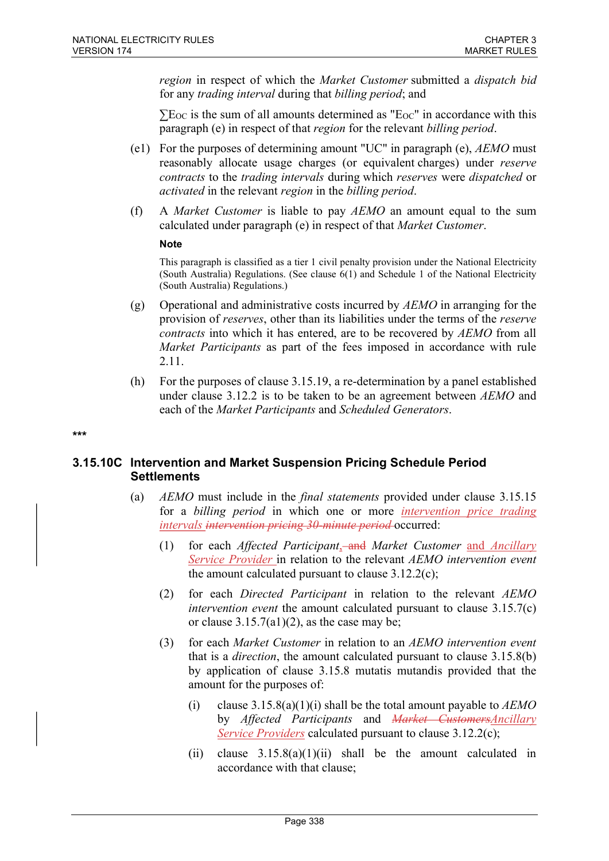region in respect of which the Market Customer submitted a dispatch bid for any trading interval during that billing period; and

 $\Sigma E_{\text{OC}}$  is the sum of all amounts determined as " $E_{\text{OC}}$ " in accordance with this paragraph (e) in respect of that region for the relevant billing period.

- (e1) For the purposes of determining amount "UC" in paragraph (e),  $AEMO$  must reasonably allocate usage charges (or equivalent charges) under reserve contracts to the trading intervals during which reserves were dispatched or activated in the relevant region in the billing period.
- (f) A *Market Customer* is liable to pay  $AEMO$  an amount equal to the sum calculated under paragraph (e) in respect of that Market Customer.

#### **Note**

This paragraph is classified as a tier 1 civil penalty provision under the National Electricity (South Australia) Regulations. (See clause 6(1) and Schedule 1 of the National Electricity (South Australia) Regulations.)

- (g) Operational and administrative costs incurred by  $AEMO$  in arranging for the provision of reserves, other than its liabilities under the terms of the reserve contracts into which it has entered, are to be recovered by AEMO from all Market Participants as part of the fees imposed in accordance with rule 2.11.
- (h) For the purposes of clause 3.15.19, a re-determination by a panel established under clause 3.12.2 is to be taken to be an agreement between AEMO and each of the Market Participants and Scheduled Generators.

# \*\*\*

### 3.15.10C Intervention and Market Suspension Pricing Schedule Period **Settlements**

- (a) AEMO must include in the final statements provided under clause 3.15.15 for a billing period in which one or more intervention price trading intervals intervention pricing 30-minute period occurred:
	- (1) for each *Affected Participant*, and *Market Customer* and *Ancillary* Service Provider in relation to the relevant AEMO intervention event the amount calculated pursuant to clause  $3.12.2(c)$ ;
	- (2) for each Directed Participant in relation to the relevant AEMO *intervention event* the amount calculated pursuant to clause  $3.15.7(c)$ or clause  $3.15.7(a1)(2)$ , as the case may be;
	- (3) for each Market Customer in relation to an AEMO intervention event that is a direction, the amount calculated pursuant to clause 3.15.8(b) by application of clause 3.15.8 mutatis mutandis provided that the amount for the purposes of:
		- (i) clause 3.15.8(a)(1)(i) shall be the total amount payable to  $AEMO$ by Affected Participants and *Market CustomersAncillary* Service Providers calculated pursuant to clause 3.12.2(c);
		- (ii) clause  $3.15.8(a)(1)(ii)$  shall be the amount calculated in accordance with that clause;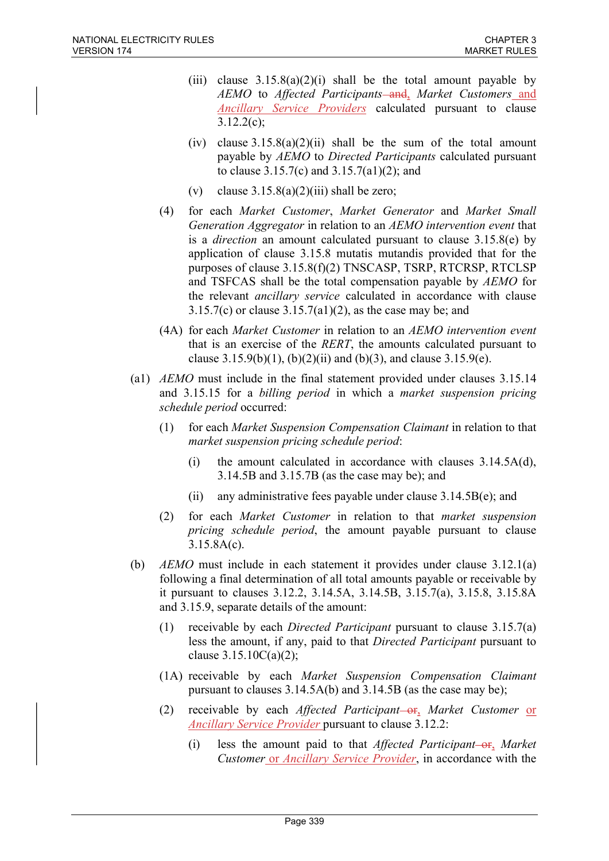- (iii) clause  $3.15.8(a)(2)(i)$  shall be the total amount payable by AEMO to Affected Participants-and, Market Customers and Ancillary Service Providers calculated pursuant to clause 3.12.2(c);
- (iv) clause  $3.15.8(a)(2)(ii)$  shall be the sum of the total amount payable by AEMO to Directed Participants calculated pursuant to clause 3.15.7(c) and 3.15.7(a1)(2); and
- (v) clause  $3.15.8(a)(2)(iii)$  shall be zero;
- (4) for each Market Customer, Market Generator and Market Small Generation Aggregator in relation to an AEMO intervention event that is a *direction* an amount calculated pursuant to clause  $3.15.8(e)$  by application of clause 3.15.8 mutatis mutandis provided that for the purposes of clause 3.15.8(f)(2) TNSCASP, TSRP, RTCRSP, RTCLSP and TSFCAS shall be the total compensation payable by AEMO for the relevant ancillary service calculated in accordance with clause  $3.15.7(c)$  or clause  $3.15.7(a1)(2)$ , as the case may be; and
- (4A) for each Market Customer in relation to an AEMO intervention event that is an exercise of the RERT, the amounts calculated pursuant to clause  $3.15.9(b)(1)$ ,  $(b)(2)(ii)$  and  $(b)(3)$ , and clause  $3.15.9(e)$ .
- (a1) AEMO must include in the final statement provided under clauses 3.15.14 and 3.15.15 for a billing period in which a market suspension pricing schedule period occurred:
	- (1) for each Market Suspension Compensation Claimant in relation to that market suspension pricing schedule period:
		- (i) the amount calculated in accordance with clauses 3.14.5A(d), 3.14.5B and 3.15.7B (as the case may be); and
		- (ii) any administrative fees payable under clause 3.14.5B(e); and
	- (2) for each Market Customer in relation to that market suspension pricing schedule period, the amount payable pursuant to clause 3.15.8A(c).
- (b) AEMO must include in each statement it provides under clause 3.12.1(a) following a final determination of all total amounts payable or receivable by it pursuant to clauses 3.12.2, 3.14.5A, 3.14.5B, 3.15.7(a), 3.15.8, 3.15.8A and 3.15.9, separate details of the amount:
	- (1) receivable by each Directed Participant pursuant to clause 3.15.7(a) less the amount, if any, paid to that Directed Participant pursuant to clause  $3.15.10C(a)(2)$ ;
	- (1A) receivable by each Market Suspension Compensation Claimant pursuant to clauses 3.14.5A(b) and 3.14.5B (as the case may be);
	- (2) receivable by each Affected Participant-or, Market Customer or Ancillary Service Provider pursuant to clause 3.12.2:
		- (i) less the amount paid to that *Affected Participant*-or, *Market* Customer or Ancillary Service Provider, in accordance with the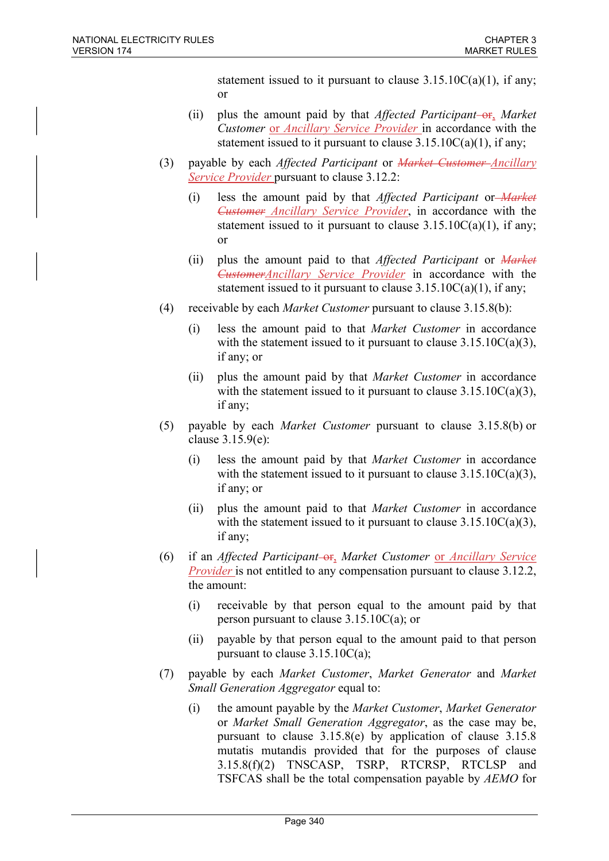statement issued to it pursuant to clause  $3.15.10C(a)(1)$ , if any; or

- (ii) plus the amount paid by that *Affected Participant*-or, *Market* Customer or Ancillary Service Provider in accordance with the statement issued to it pursuant to clause  $3.15.10C(a)(1)$ , if any;
- (3) payable by each *Affected Participant* or *Market Customer-Ancillary* Service Provider pursuant to clause 3.12.2:
	- (i) less the amount paid by that Affected Participant or Market Customer Ancillary Service Provider, in accordance with the statement issued to it pursuant to clause  $3.15.10C(a)(1)$ , if any; or
	- (ii) plus the amount paid to that *Affected Participant* or *Market* CustomerAncillary Service Provider in accordance with the statement issued to it pursuant to clause  $3.15.10C(a)(1)$ , if any;
- (4) receivable by each Market Customer pursuant to clause 3.15.8(b):
	- (i) less the amount paid to that Market Customer in accordance with the statement issued to it pursuant to clause  $3.15.10C(a)(3)$ , if any; or
	- (ii) plus the amount paid by that Market Customer in accordance with the statement issued to it pursuant to clause  $3.15.10C(a)(3)$ , if any;
- (5) payable by each Market Customer pursuant to clause 3.15.8(b) or clause 3.15.9(e):
	- (i) less the amount paid by that Market Customer in accordance with the statement issued to it pursuant to clause  $3.15.10C(a)(3)$ , if any; or
	- (ii) plus the amount paid to that Market Customer in accordance with the statement issued to it pursuant to clause  $3.15.10C(a)(3)$ , if any;
- (6) if an Affected Participant- $\Theta$ <sub>1</sub>, Market Customer <u>or Ancillary Service</u> Provider is not entitled to any compensation pursuant to clause 3.12.2, the amount:
	- (i) receivable by that person equal to the amount paid by that person pursuant to clause 3.15.10C(a); or
	- (ii) payable by that person equal to the amount paid to that person pursuant to clause  $3.15.10C(a)$ ;
- (7) payable by each Market Customer, Market Generator and Market Small Generation Aggregator equal to:
	- (i) the amount payable by the Market Customer, Market Generator or Market Small Generation Aggregator, as the case may be, pursuant to clause 3.15.8(e) by application of clause 3.15.8 mutatis mutandis provided that for the purposes of clause 3.15.8(f)(2) TNSCASP, TSRP, RTCRSP, RTCLSP and TSFCAS shall be the total compensation payable by AEMO for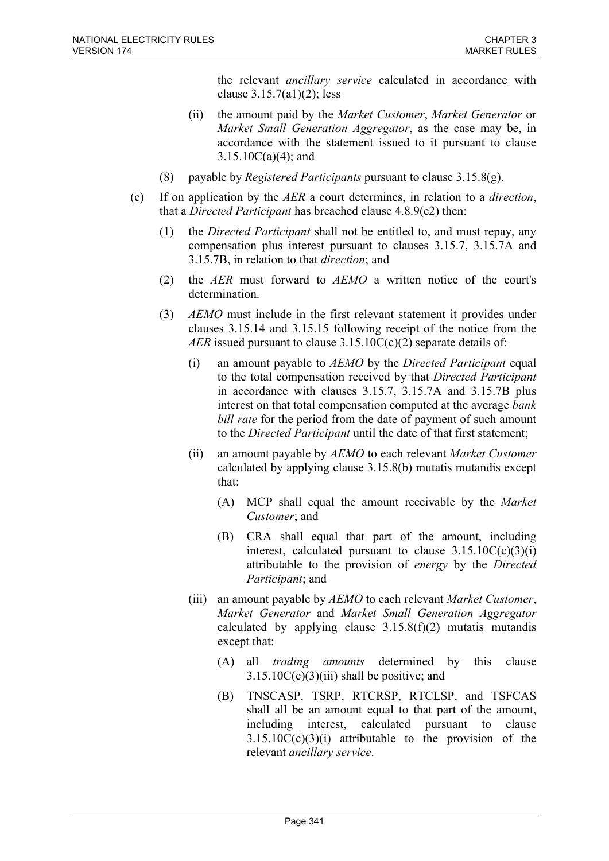the relevant ancillary service calculated in accordance with clause 3.15.7(a1)(2); less

- (ii) the amount paid by the Market Customer, Market Generator or Market Small Generation Aggregator, as the case may be, in accordance with the statement issued to it pursuant to clause 3.15.10C(a)(4); and
- (8) payable by *Registered Participants* pursuant to clause  $3.15.8(g)$ .
- (c) If on application by the  $AER$  a court determines, in relation to a *direction*, that a Directed Participant has breached clause 4.8.9(c2) then:
	- (1) the Directed Participant shall not be entitled to, and must repay, any compensation plus interest pursuant to clauses 3.15.7, 3.15.7A and 3.15.7B, in relation to that *direction*; and
	- (2) the AER must forward to AEMO a written notice of the court's determination.
	- (3) AEMO must include in the first relevant statement it provides under clauses 3.15.14 and 3.15.15 following receipt of the notice from the AER issued pursuant to clause  $3.15.10C(c)(2)$  separate details of:
		- (i) an amount payable to AEMO by the Directed Participant equal to the total compensation received by that Directed Participant in accordance with clauses 3.15.7, 3.15.7A and 3.15.7B plus interest on that total compensation computed at the average bank bill rate for the period from the date of payment of such amount to the Directed Participant until the date of that first statement;
		- (ii) an amount payable by AEMO to each relevant Market Customer calculated by applying clause 3.15.8(b) mutatis mutandis except that:
			- (A) MCP shall equal the amount receivable by the Market Customer; and
			- (B) CRA shall equal that part of the amount, including interest, calculated pursuant to clause  $3.15.10C(c)(3)(i)$ attributable to the provision of energy by the Directed Participant; and
		- (iii) an amount payable by  $AEMO$  to each relevant *Market Customer*, Market Generator and Market Small Generation Aggregator calculated by applying clause  $3.15.8(f)(2)$  mutatis mutandis except that:
			- (A) all trading amounts determined by this clause  $3.15.10C(c)(3)(iii)$  shall be positive; and
			- (B) TNSCASP, TSRP, RTCRSP, RTCLSP, and TSFCAS shall all be an amount equal to that part of the amount, including interest, calculated pursuant to clause  $3.15.10C(c)(3)(i)$  attributable to the provision of the relevant ancillary service.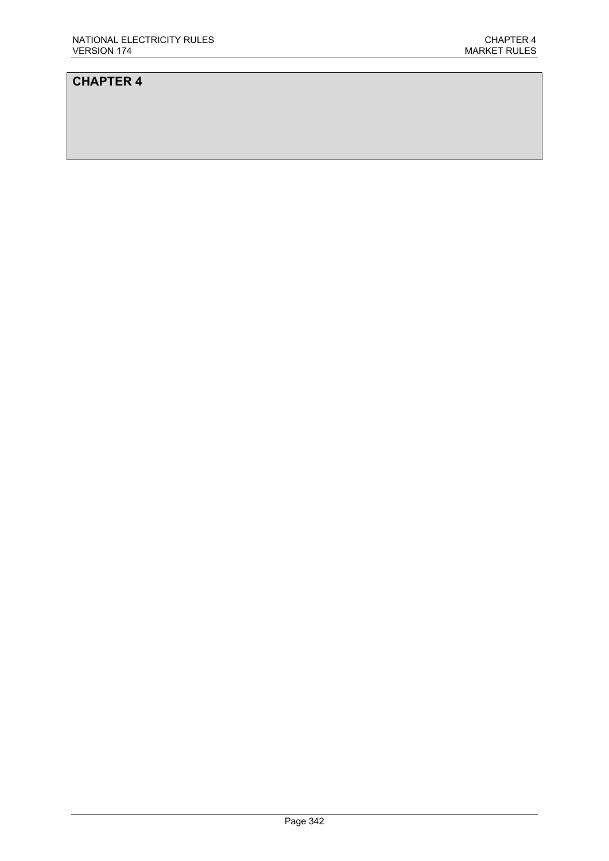# CHAPTER 4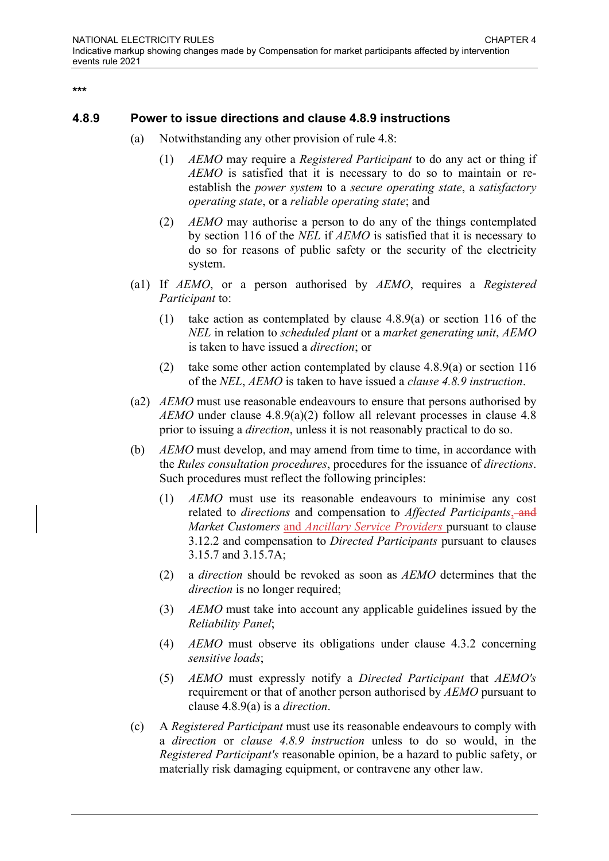\*\*\*

### 4.8.9 Power to issue directions and clause 4.8.9 instructions

- (a) Notwithstanding any other provision of rule 4.8:
	- (1) AEMO may require a Registered Participant to do any act or thing if AEMO is satisfied that it is necessary to do so to maintain or reestablish the power system to a secure operating state, a satisfactory operating state, or a reliable operating state; and
	- (2) AEMO may authorise a person to do any of the things contemplated by section 116 of the NEL if AEMO is satisfied that it is necessary to do so for reasons of public safety or the security of the electricity system.
- (a1) If AEMO, or a person authorised by AEMO, requires a Registered Participant to:
	- (1) take action as contemplated by clause 4.8.9(a) or section 116 of the NEL in relation to scheduled plant or a market generating unit, AEMO is taken to have issued a direction; or
	- (2) take some other action contemplated by clause 4.8.9(a) or section 116 of the NEL, AEMO is taken to have issued a clause 4.8.9 instruction.
- (a2) AEMO must use reasonable endeavours to ensure that persons authorised by AEMO under clause 4.8.9(a)(2) follow all relevant processes in clause 4.8 prior to issuing a direction, unless it is not reasonably practical to do so.
- (b) AEMO must develop, and may amend from time to time, in accordance with the Rules consultation procedures, procedures for the issuance of directions. Such procedures must reflect the following principles:
	- (1) AEMO must use its reasonable endeavours to minimise any cost related to directions and compensation to Affected Participants, and Market Customers and Ancillary Service Providers pursuant to clause 3.12.2 and compensation to Directed Participants pursuant to clauses 3.15.7 and 3.15.7A;
	- (2) a direction should be revoked as soon as AEMO determines that the direction is no longer required;
	- (3) AEMO must take into account any applicable guidelines issued by the Reliability Panel;
	- (4) AEMO must observe its obligations under clause 4.3.2 concerning sensitive loads;
	- (5) AEMO must expressly notify a Directed Participant that AEMO's requirement or that of another person authorised by AEMO pursuant to clause 4.8.9(a) is a direction.
- (c) A Registered Participant must use its reasonable endeavours to comply with a direction or clause 4.8.9 instruction unless to do so would, in the Registered Participant's reasonable opinion, be a hazard to public safety, or materially risk damaging equipment, or contravene any other law.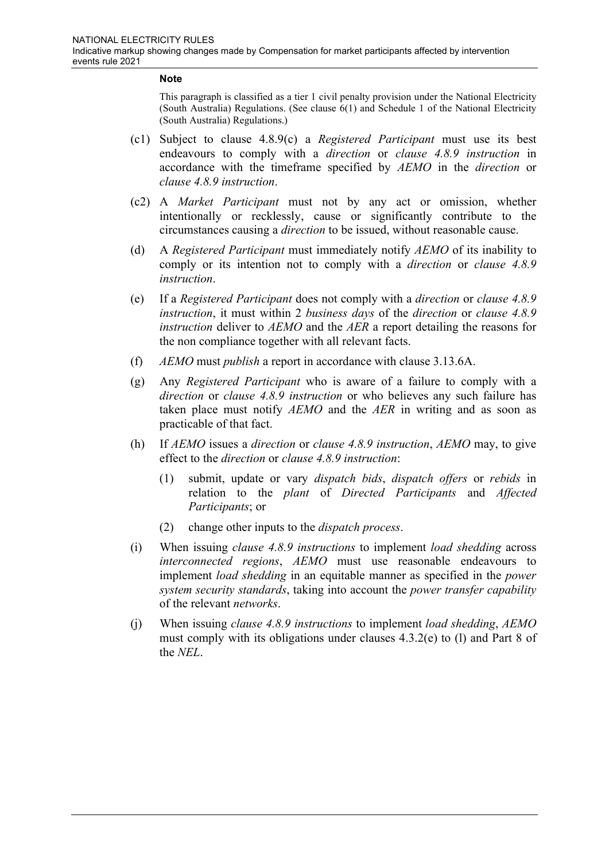#### **Note**

This paragraph is classified as a tier 1 civil penalty provision under the National Electricity (South Australia) Regulations. (See clause 6(1) and Schedule 1 of the National Electricity (South Australia) Regulations.)

- (c1) Subject to clause 4.8.9(c) a Registered Participant must use its best endeavours to comply with a direction or clause 4.8.9 instruction in accordance with the timeframe specified by AEMO in the direction or clause 4.8.9 instruction.
- (c2) A Market Participant must not by any act or omission, whether intentionally or recklessly, cause or significantly contribute to the circumstances causing a direction to be issued, without reasonable cause.
- (d) A Registered Participant must immediately notify AEMO of its inability to comply or its intention not to comply with a direction or clause 4.8.9 instruction.
- (e) If a Registered Participant does not comply with a direction or clause 4.8.9 instruction, it must within 2 business days of the direction or clause 4.8.9 instruction deliver to AEMO and the AER a report detailing the reasons for the non compliance together with all relevant facts.
- (f) AEMO must publish a report in accordance with clause 3.13.6A.
- (g) Any Registered Participant who is aware of a failure to comply with a direction or clause 4.8.9 instruction or who believes any such failure has taken place must notify AEMO and the AER in writing and as soon as practicable of that fact.
- (h) If AEMO issues a direction or clause 4.8.9 instruction, AEMO may, to give effect to the direction or clause 4.8.9 instruction:
	- (1) submit, update or vary dispatch bids, dispatch offers or rebids in relation to the plant of Directed Participants and Affected Participants; or
	- (2) change other inputs to the dispatch process.
- (i) When issuing clause 4.8.9 instructions to implement load shedding across interconnected regions, AEMO must use reasonable endeavours to implement *load shedding* in an equitable manner as specified in the *power* system security standards, taking into account the power transfer capability of the relevant networks.
- (j) When issuing clause 4.8.9 instructions to implement load shedding, AEMO must comply with its obligations under clauses 4.3.2(e) to (l) and Part 8 of the NEL.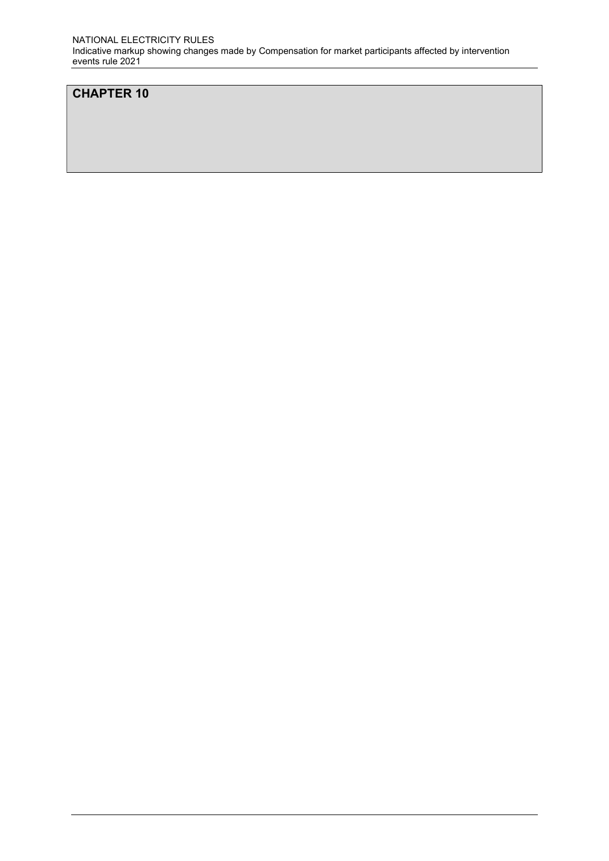## CHAPTER 10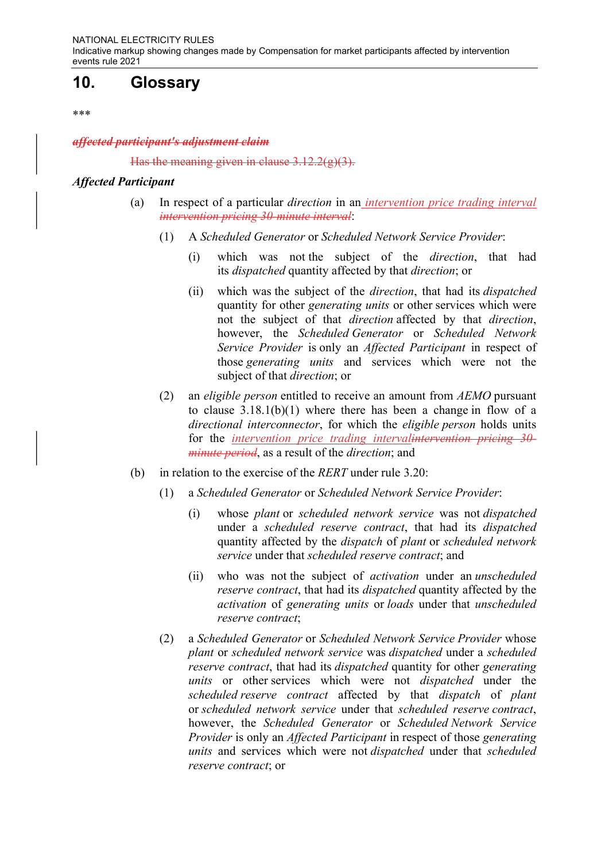# 10. Glossary

\*\*\*

affected participant's adjustment claim

Has the meaning given in clause  $3.12.2(g)(3)$ .

#### Affected Participant

- (a) In respect of a particular direction in an intervention price trading interval intervention pricing 30-minute interval:
	- (1) A Scheduled Generator or Scheduled Network Service Provider:
		- (i) which was not the subject of the direction, that had its dispatched quantity affected by that direction; or
		- (ii) which was the subject of the direction, that had its dispatched quantity for other *generating units* or other services which were not the subject of that direction affected by that direction, however, the Scheduled Generator or Scheduled Network Service Provider is only an Affected Participant in respect of those generating units and services which were not the subject of that direction; or
	- (2) an eligible person entitled to receive an amount from AEMO pursuant to clause 3.18.1(b)(1) where there has been a change in flow of a directional interconnector, for which the eligible person holds units for the intervention price trading intervalintervention pricing 30minute period, as a result of the direction; and
- (b) in relation to the exercise of the  $RERT$  under rule 3.20:
	- (1) a Scheduled Generator or Scheduled Network Service Provider:
		- (i) whose plant or scheduled network service was not dispatched under a scheduled reserve contract, that had its dispatched quantity affected by the dispatch of plant or scheduled network service under that scheduled reserve contract; and
		- (ii) who was not the subject of *activation* under an *unscheduled* reserve contract, that had its dispatched quantity affected by the activation of generating units or loads under that unscheduled reserve contract;
	- (2) a Scheduled Generator or Scheduled Network Service Provider whose plant or scheduled network service was dispatched under a scheduled reserve contract, that had its dispatched quantity for other generating units or other services which were not *dispatched* under the scheduled reserve contract affected by that dispatch of plant or scheduled network service under that scheduled reserve contract, however, the Scheduled Generator or Scheduled Network Service Provider is only an Affected Participant in respect of those generating units and services which were not *dispatched* under that *scheduled* reserve contract; or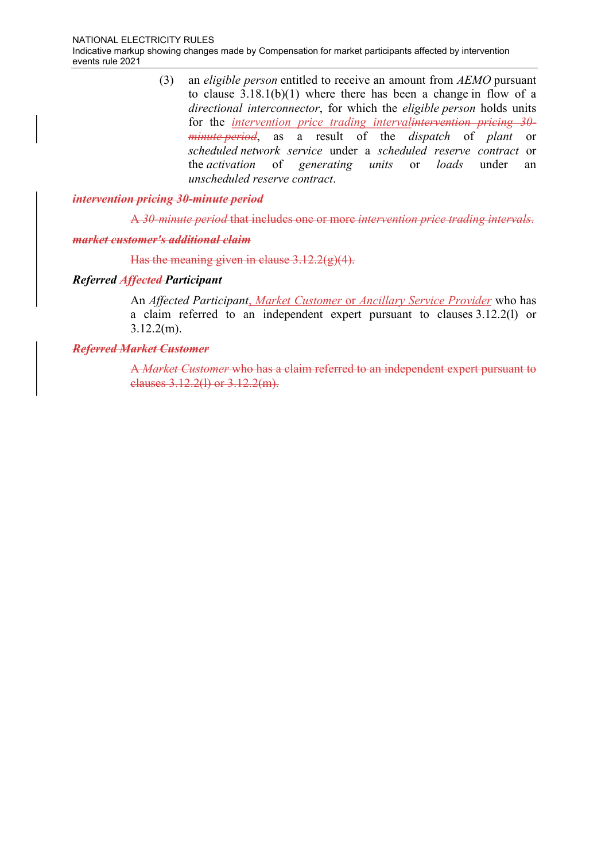(3) an eligible person entitled to receive an amount from AEMO pursuant to clause 3.18.1(b)(1) where there has been a change in flow of a directional interconnector, for which the eligible person holds units for the *intervention price trading intervalintervention pricing 30*minute period, as a result of the dispatch of plant or scheduled network service under a scheduled reserve contract or the activation of generating units or loads under an unscheduled reserve contract.

#### intervention pricing 30-minute period

A 30-minute period that includes one or more intervention price trading intervals.

#### market customer's additional claim

Has the meaning given in clause  $3.12.2(g)(4)$ .

#### Referred Affected Participant

An Affected Participant, Market Customer or Ancillary Service Provider who has a claim referred to an independent expert pursuant to clauses 3.12.2(l) or 3.12.2(m).

#### Referred Market Customer

A Market Customer who has a claim referred to an independent expert pursuant to clauses 3.12.2(l) or 3.12.2(m).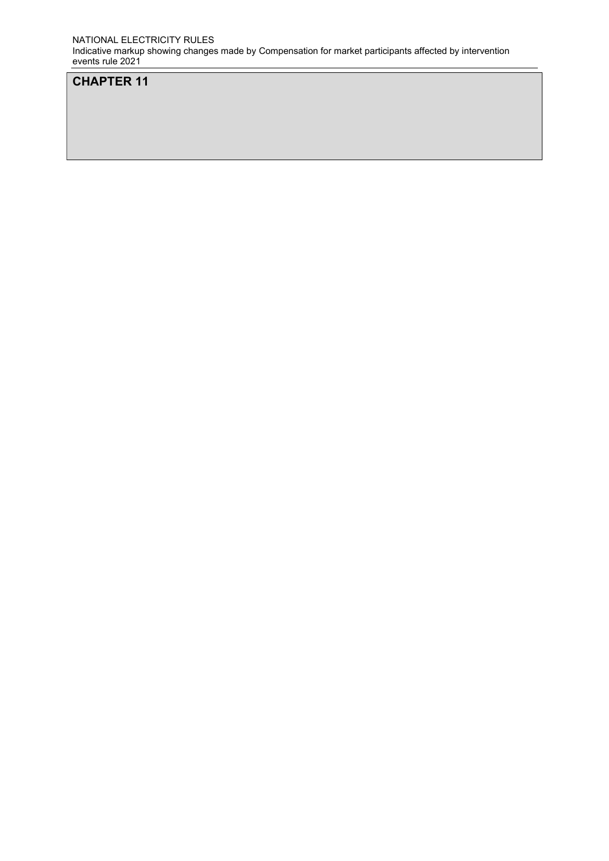NATIONAL ELECTRICITY RULES Indicative markup showing changes made by Compensation for market participants affected by intervention events rule 2021

# CHAPTER 11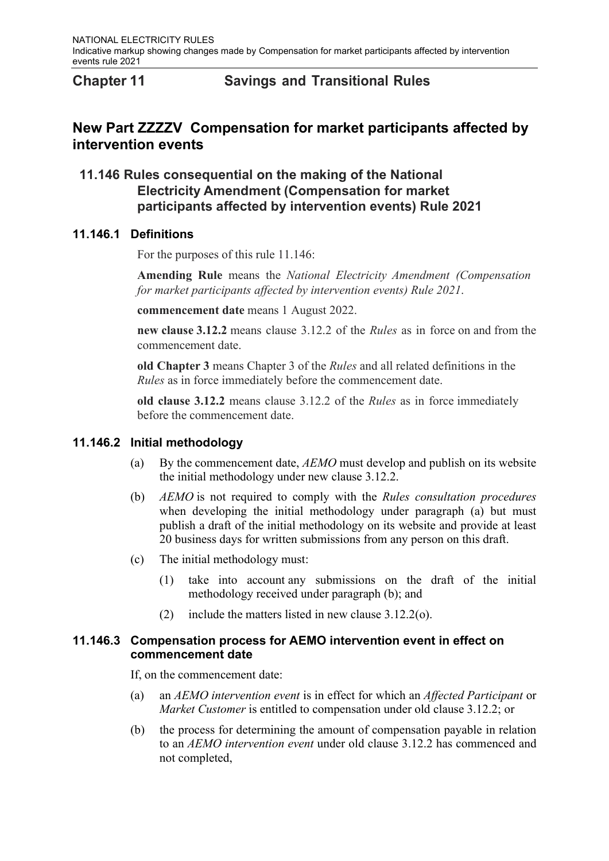# Chapter 11 Savings and Transitional Rules

# New Part ZZZZV Compensation for market participants affected by intervention events

# 11.146 Rules consequential on the making of the National Electricity Amendment (Compensation for market participants affected by intervention events) Rule 2021

### 11.146.1 Definitions

For the purposes of this rule 11.146:

Amending Rule means the National Electricity Amendment (Compensation for market participants affected by intervention events) Rule 2021.

commencement date means 1 August 2022.

new clause 3.12.2 means clause 3.12.2 of the *Rules* as in force on and from the commencement date.

old Chapter 3 means Chapter 3 of the Rules and all related definitions in the Rules as in force immediately before the commencement date.

old clause 3.12.2 means clause 3.12.2 of the Rules as in force immediately before the commencement date.

### 11.146.2 Initial methodology

- (a) By the commencement date,  $AEMO$  must develop and publish on its website the initial methodology under new clause 3.12.2.
- (b) AEMO is not required to comply with the Rules consultation procedures when developing the initial methodology under paragraph (a) but must publish a draft of the initial methodology on its website and provide at least 20 business days for written submissions from any person on this draft.
- (c) The initial methodology must:
	- (1) take into account any submissions on the draft of the initial methodology received under paragraph (b); and
	- (2) include the matters listed in new clause 3.12.2(o).

### 11.146.3 Compensation process for AEMO intervention event in effect on commencement date

If, on the commencement date:

- (a) an AEMO intervention event is in effect for which an Affected Participant or Market Customer is entitled to compensation under old clause 3.12.2; or
- (b) the process for determining the amount of compensation payable in relation to an AEMO intervention event under old clause 3.12.2 has commenced and not completed,